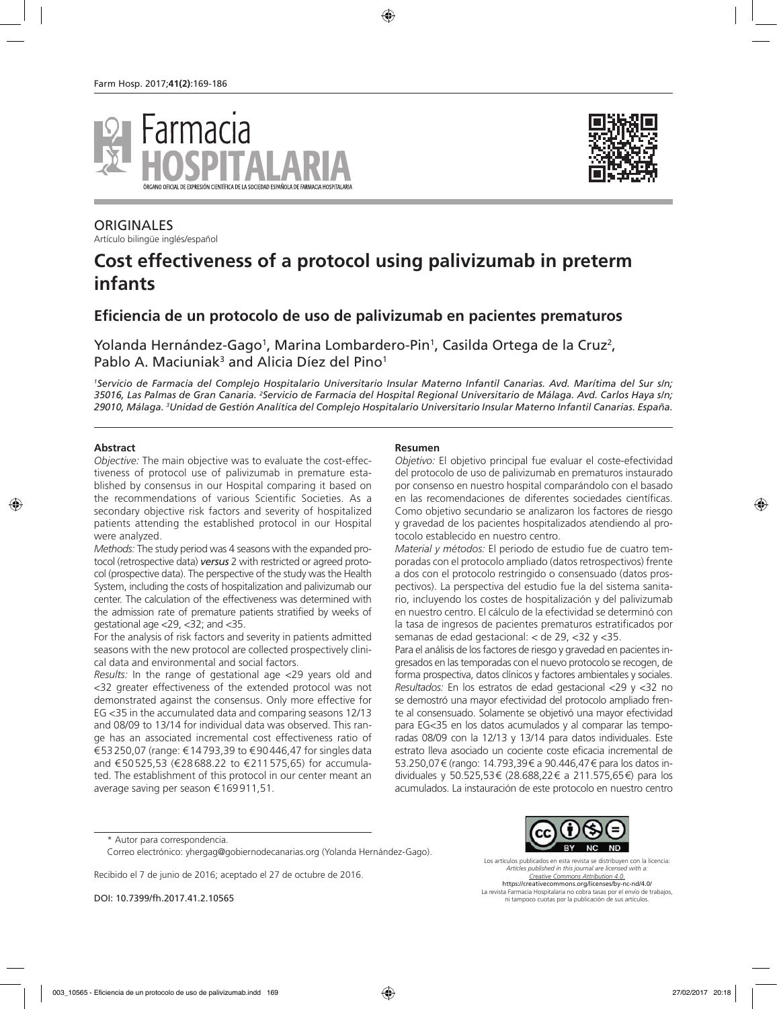



**ORIGINALES** Artículo bilingüe inglés/español

# **Cost effectiveness of a protocol using palivizumab in preterm infants**

# **Eficiencia de un protocolo de uso de palivizumab en pacientes prematuros**

Yolanda Hernández-Gago<sup>1</sup>, Marina Lombardero-Pin<sup>1</sup>, Casilda Ortega de la Cruz<sup>2</sup>, Pablo A. Maciuniak<sup>3</sup> and Alicia Díez del Pino<sup>1</sup>

*1 Servicio de Farmacia del Complejo Hospitalario Universitario Insular Materno Infantil Canarias. Avd. Marítima del Sur s/n;*  35016, Las Palmas de Gran Canaria. <sup>2</sup>Servicio de Farmacia del Hospital Regional Universitario de Málaga. Avd. Carlos Haya s/n; *29010, Málaga. 3 Unidad de Gestión Analítica del Complejo Hospitalario Universitario Insular Materno Infantil Canarias. España.*

#### **Abstract**

*Objective:* The main objective was to evaluate the cost-effectiveness of protocol use of palivizumab in premature established by consensus in our Hospital comparing it based on the recommendations of various Scientific Societies. As a secondary objective risk factors and severity of hospitalized patients attending the established protocol in our Hospital were analyzed.

*Methods:* The study period was 4 seasons with the expanded protocol (retrospective data) *versus* 2 with restricted or agreed protocol (prospective data). The perspective of the study was the Health System, including the costs of hospitalization and palivizumab our center. The calculation of the effectiveness was determined with the admission rate of premature patients stratified by weeks of gestational age <29, <32; and <35.

For the analysis of risk factors and severity in patients admitted seasons with the new protocol are collected prospectively clinical data and environmental and social factors.

*Results:* In the range of gestational age <29 years old and <32 greater effectiveness of the extended protocol was not demonstrated against the consensus. Only more effective for EG <35 in the accumulated data and comparing seasons 12/13 and 08/09 to 13/14 for individual data was observed. This range has an associated incremental cost effectiveness ratio of €53250,07 (range: €14793,39 to €90446,47 for singles data and €50525,53 (€28688.22 to €211575,65) for accumulated. The establishment of this protocol in our center meant an average saving per season €169911,51.

#### **Resumen**

*Objetivo:* El objetivo principal fue evaluar el coste-efectividad del protocolo de uso de palivizumab en prematuros instaurado por consenso en nuestro hospital comparándolo con el basado en las recomendaciones de diferentes sociedades científicas. Como objetivo secundario se analizaron los factores de riesgo y gravedad de los pacientes hospitalizados atendiendo al protocolo establecido en nuestro centro.

*Material y métodos:* El periodo de estudio fue de cuatro temporadas con el protocolo ampliado (datos retrospectivos) frente a dos con el protocolo restringido o consensuado (datos prospectivos). La perspectiva del estudio fue la del sistema sanitario, incluyendo los costes de hospitalización y del palivizumab en nuestro centro. El cálculo de la efectividad se determinó con la tasa de ingresos de pacientes prematuros estratificados por semanas de edad gestacional: < de 29, <32 y <35.

Para el análisis de los factores de riesgo y gravedad en pacientes ingresados en las temporadas con el nuevo protocolo se recogen, de forma prospectiva, datos clínicos y factores ambientales y sociales. *Resultados:* En los estratos de edad gestacional <29 y <32 no se demostró una mayor efectividad del protocolo ampliado frente al consensuado. Solamente se objetivó una mayor efectividad para EG<35 en los datos acumulados y al comparar las temporadas 08/09 con la 12/13 y 13/14 para datos individuales. Este estrato lleva asociado un cociente coste eficacia incremental de 53.250,07€ (rango: 14.793,39€ a 90.446,47€ para los datos individuales y 50.525,53€ (28.688,22€ a 211.575,65€) para los acumulados. La instauración de este protocolo en nuestro centro

Recibido el 7 de junio de 2016; aceptado el 27 de octubre de 2016.

DOI: 10.7399/fh.2017.41.2.10565



Los artículos publicados en esta revista se distribuyen con la licencia: *Articles published in this journal are licensed with a: Creative Commons Attribution 4.0.* https://creativecommons.org/licenses/by-nc-nd/4.0/ La revista Farmacia Hospitalaria no cobra tasas por el envío de trabajos, ni tampoco cuotas por la publicación de sus artículos.

<sup>\*</sup> Autor para correspondencia.

Correo electrónico: yhergag@gobiernodecanarias.org (Yolanda Hernández-Gago).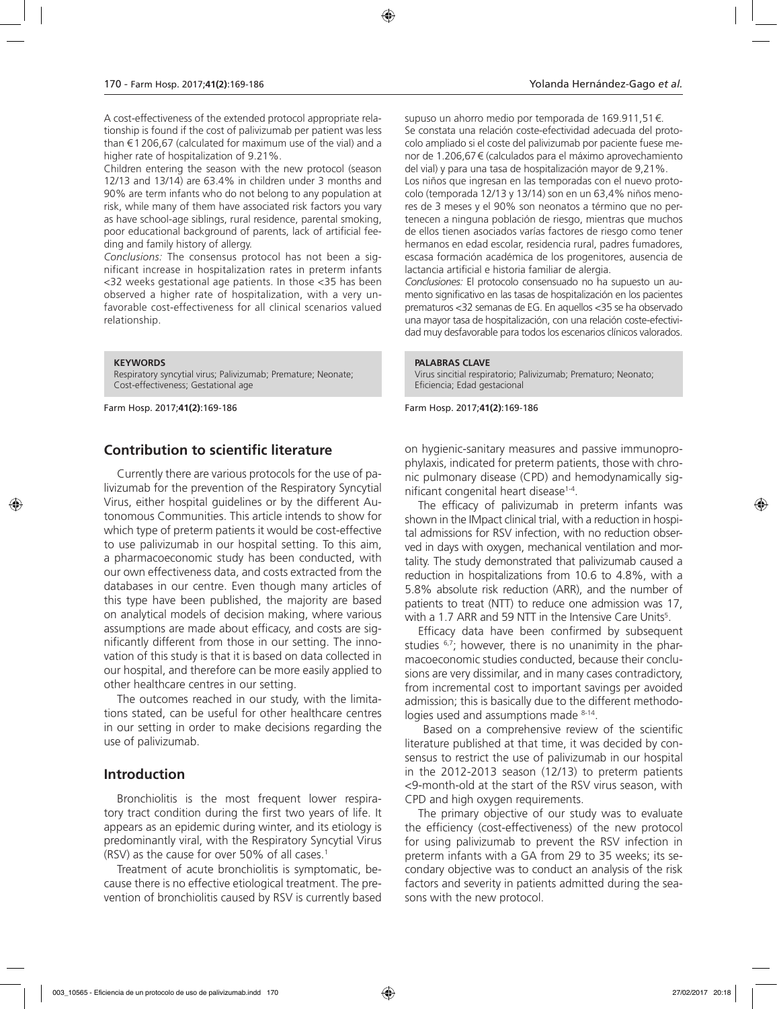A cost-effectiveness of the extended protocol appropriate relationship is found if the cost of palivizumab per patient was less than €1206,67 (calculated for maximum use of the vial) and a higher rate of hospitalization of 9.21%.

Children entering the season with the new protocol (season 12/13 and 13/14) are 63.4% in children under 3 months and 90% are term infants who do not belong to any population at risk, while many of them have associated risk factors you vary as have school-age siblings, rural residence, parental smoking, poor educational background of parents, lack of artificial feeding and family history of allergy.

*Conclusions:* The consensus protocol has not been a significant increase in hospitalization rates in preterm infants <32 weeks gestational age patients. In those <35 has been observed a higher rate of hospitalization, with a very unfavorable cost-effectiveness for all clinical scenarios valued relationship.

#### **KEYWORDS**

Respiratory syncytial virus; Palivizumab; Premature; Neonate; Cost-effectiveness; Gestational age

Farm Hosp. 2017;**41(2)**:169-186

# **Contribution to scientific literature**

Currently there are various protocols for the use of palivizumab for the prevention of the Respiratory Syncytial Virus, either hospital guidelines or by the different Autonomous Communities. This article intends to show for which type of preterm patients it would be cost-effective to use palivizumab in our hospital setting. To this aim, a pharmacoeconomic study has been conducted, with our own effectiveness data, and costs extracted from the databases in our centre. Even though many articles of this type have been published, the majority are based on analytical models of decision making, where various assumptions are made about efficacy, and costs are significantly different from those in our setting. The innovation of this study is that it is based on data collected in our hospital, and therefore can be more easily applied to other healthcare centres in our setting.

The outcomes reached in our study, with the limitations stated, can be useful for other healthcare centres in our setting in order to make decisions regarding the use of palivizumab.

# **Introduction**

Bronchiolitis is the most frequent lower respiratory tract condition during the first two years of life. It appears as an epidemic during winter, and its etiology is predominantly viral, with the Respiratory Syncytial Virus (RSV) as the cause for over 50% of all cases.<sup>1</sup>

Treatment of acute bronchiolitis is symptomatic, because there is no effective etiological treatment. The prevention of bronchiolitis caused by RSV is currently based

supuso un ahorro medio por temporada de 169.911,51€. Se constata una relación coste-efectividad adecuada del protocolo ampliado si el coste del palivizumab por paciente fuese menor de 1.206,67€ (calculados para el máximo aprovechamiento del vial) y para una tasa de hospitalización mayor de 9,21%. Los niños que ingresan en las temporadas con el nuevo protocolo (temporada 12/13 y 13/14) son en un 63,4% niños menores de 3 meses y el 90% son neonatos a término que no pertenecen a ninguna población de riesgo, mientras que muchos de ellos tienen asociados varías factores de riesgo como tener hermanos en edad escolar, residencia rural, padres fumadores, escasa formación académica de los progenitores, ausencia de lactancia artificial e historia familiar de alergia.

*Conclusiones:* El protocolo consensuado no ha supuesto un aumento significativo en las tasas de hospitalización en los pacientes prematuros <32 semanas de EG. En aquellos <35 se ha observado una mayor tasa de hospitalización, con una relación coste-efectividad muy desfavorable para todos los escenarios clínicos valorados.

#### **PALABRAS CLAVE**

Virus sincitial respiratorio; Palivizumab; Prematuro; Neonato; Eficiencia; Edad gestacional

Farm Hosp. 2017;**41(2)**:169-186

on hygienic-sanitary measures and passive immunoprophylaxis, indicated for preterm patients, those with chronic pulmonary disease (CPD) and hemodynamically significant congenital heart disease<sup>1-4</sup>.

The efficacy of palivizumab in preterm infants was shown in the IMpact clinical trial, with a reduction in hospital admissions for RSV infection, with no reduction observed in days with oxygen, mechanical ventilation and mortality. The study demonstrated that palivizumab caused a reduction in hospitalizations from 10.6 to 4.8%, with a 5.8% absolute risk reduction (ARR), and the number of patients to treat (NTT) to reduce one admission was 17, with a 1.7 ARR and 59 NTT in the Intensive Care Units<sup>5</sup>.

Efficacy data have been confirmed by subsequent studies  $6.7$ ; however, there is no unanimity in the pharmacoeconomic studies conducted, because their conclusions are very dissimilar, and in many cases contradictory, from incremental cost to important savings per avoided admission; this is basically due to the different methodologies used and assumptions made <sup>8-14</sup>.

 Based on a comprehensive review of the scientific literature published at that time, it was decided by consensus to restrict the use of palivizumab in our hospital in the 2012-2013 season (12/13) to preterm patients <9-month-old at the start of the RSV virus season, with CPD and high oxygen requirements.

The primary objective of our study was to evaluate the efficiency (cost-effectiveness) of the new protocol for using palivizumab to prevent the RSV infection in preterm infants with a GA from 29 to 35 weeks; its secondary objective was to conduct an analysis of the risk factors and severity in patients admitted during the seasons with the new protocol.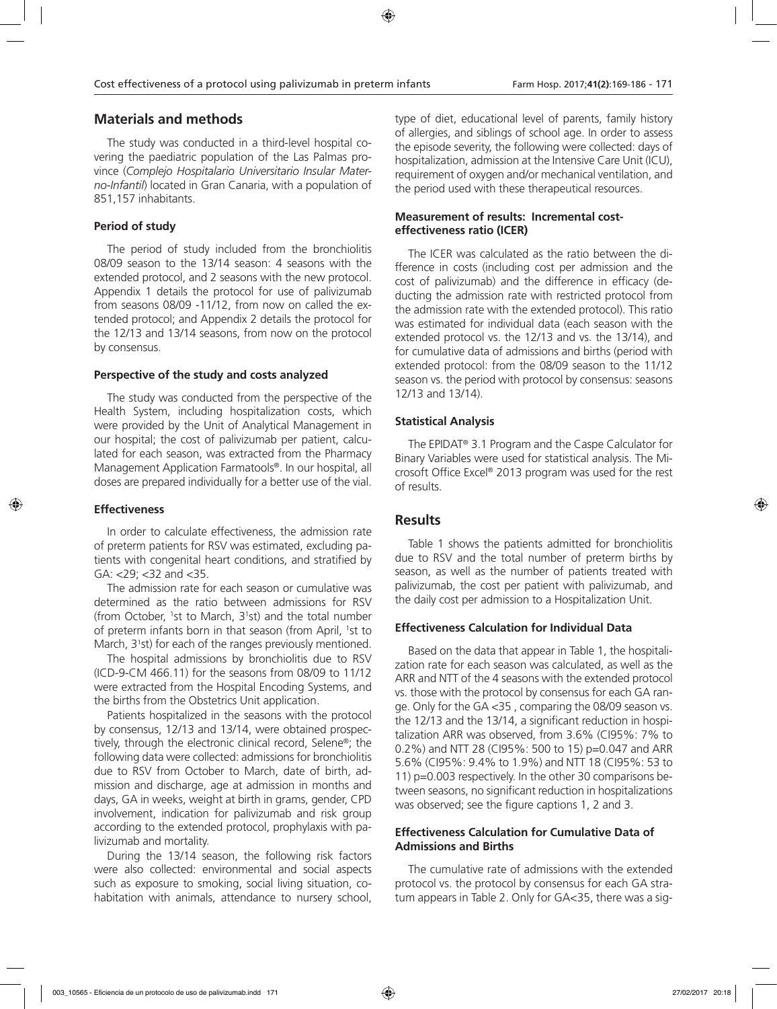# **Materials and methods**

The study was conducted in a third-level hospital covering the paediatric population of the Las Palmas province (*Complejo Hospitalario Universitario Insular Materno-Infantil*) located in Gran Canaria, with a population of 851,157 inhabitants.

#### **Period of study**

The period of study included from the bronchiolitis 08/09 season to the 13/14 season: 4 seasons with the extended protocol, and 2 seasons with the new protocol. Appendix 1 details the protocol for use of palivizumab from seasons 08/09 -11/12, from now on called the extended protocol; and Appendix 2 details the protocol for the 12/13 and 13/14 seasons, from now on the protocol by consensus.

# **Perspective of the study and costs analyzed**

The study was conducted from the perspective of the Health System, including hospitalization costs, which were provided by the Unit of Analytical Management in our hospital; the cost of palivizumab per patient, calculated for each season, was extracted from the Pharmacy Management Application Farmatools®. In our hospital, all doses are prepared individually for a better use of the vial.

#### **Effectiveness**

In order to calculate effectiveness, the admission rate of preterm patients for RSV was estimated, excluding patients with congenital heart conditions, and stratified by GA: <29; <32 and <35.

The admission rate for each season or cumulative was determined as the ratio between admissions for RSV (from October, <sup>1</sup>st to March, 3<sup>1</sup>st) and the total number of preterm infants born in that season (from April, <sup>1</sup>st to March, 3<sup>1</sup>st) for each of the ranges previously mentioned.

The hospital admissions by bronchiolitis due to RSV (ICD-9-CM 466.11) for the seasons from 08/09 to 11/12 were extracted from the Hospital Encoding Systems, and the births from the Obstetrics Unit application.

Patients hospitalized in the seasons with the protocol by consensus, 12/13 and 13/14, were obtained prospectively, through the electronic clinical record, Selene®; the following data were collected: admissions for bronchiolitis due to RSV from October to March, date of birth, admission and discharge, age at admission in months and days, GA in weeks, weight at birth in grams, gender, CPD involvement, indication for palivizumab and risk group according to the extended protocol, prophylaxis with palivizumab and mortality.

During the 13/14 season, the following risk factors were also collected: environmental and social aspects such as exposure to smoking, social living situation, cohabitation with animals, attendance to nursery school,

type of diet, educational level of parents, family history of allergies, and siblings of school age. In order to assess the episode severity, the following were collected: days of hospitalization, admission at the Intensive Care Unit (ICU), requirement of oxygen and/or mechanical ventilation, and the period used with these therapeutical resources.

# **Measurement of results: Incremental costeffectiveness ratio (ICER)**

The ICER was calculated as the ratio between the difference in costs (including cost per admission and the cost of palivizumab) and the difference in efficacy (deducting the admission rate with restricted protocol from the admission rate with the extended protocol). This ratio was estimated for individual data (each season with the extended protocol vs. the 12/13 and vs. the 13/14), and for cumulative data of admissions and births (period with extended protocol: from the 08/09 season to the 11/12 season vs. the period with protocol by consensus: seasons 12/13 and 13/14).

# **Statistical Analysis**

The EPIDAT® 3.1 Program and the Caspe Calculator for Binary Variables were used for statistical analysis. The Microsoft Office Excel® 2013 program was used for the rest of results.

# **Results**

Table 1 shows the patients admitted for bronchiolitis due to RSV and the total number of preterm births by season, as well as the number of patients treated with palivizumab, the cost per patient with palivizumab, and the daily cost per admission to a Hospitalization Unit.

#### **Effectiveness Calculation for Individual Data**

Based on the data that appear in Table 1, the hospitalization rate for each season was calculated, as well as the ARR and NTT of the 4 seasons with the extended protocol vs. those with the protocol by consensus for each GA range. Only for the GA <35 , comparing the 08/09 season vs. the 12/13 and the 13/14, a significant reduction in hospitalization ARR was observed, from 3.6% (CI95%: 7% to 0.2%) and NTT 28 (CI95%: 500 to 15) p=0.047 and ARR 5.6% (CI95%: 9.4% to 1.9%) and NTT 18 (CI95%: 53 to 11) p=0.003 respectively. In the other 30 comparisons between seasons, no significant reduction in hospitalizations was observed; see the figure captions 1, 2 and 3.

#### **Effectiveness Calculation for Cumulative Data of Admissions and Births**

The cumulative rate of admissions with the extended protocol vs. the protocol by consensus for each GA stratum appears in Table 2. Only for GA<35, there was a sig-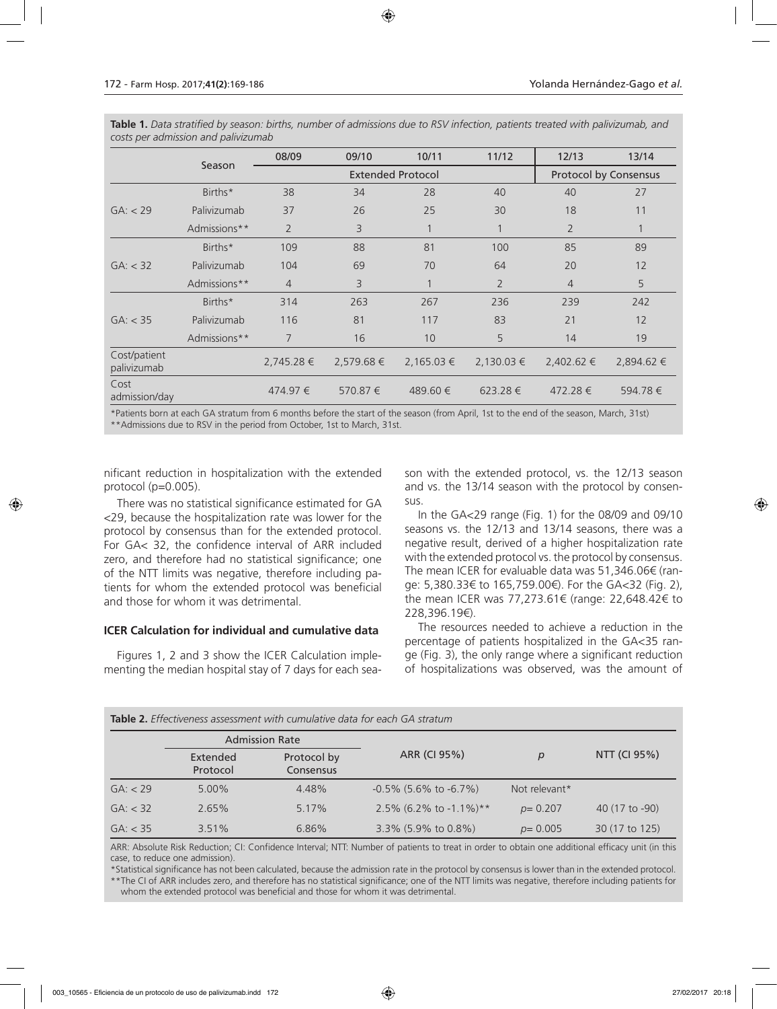|                             |              | 08/09          | 09/10      | 10/11                    | 11/12          | 12/13          | 13/14                        |  |
|-----------------------------|--------------|----------------|------------|--------------------------|----------------|----------------|------------------------------|--|
|                             | Season       |                |            | <b>Extended Protocol</b> |                |                | <b>Protocol by Consensus</b> |  |
|                             | Births*      | 38             | 34         | 28                       | 40             | 40             | 27                           |  |
| GA: < 29                    | Palivizumab  | 37             | 26         | 25                       | 30             | 18             | 11                           |  |
|                             | Admissions** | $\overline{2}$ | 3          | $\mathbf{1}$             | 1              | $\overline{2}$ | $\mathbf{1}$                 |  |
|                             | Births*      | 109            | 88         | 81                       | 100            | 85             | 89                           |  |
| GA: < 32                    | Palivizumab  | 104            | 69         | 70                       | 64             | 20             | 12                           |  |
|                             | Admissions** | $\overline{4}$ | 3          |                          | $\overline{2}$ | $\overline{4}$ | 5                            |  |
|                             | Births*      | 314            | 263        | 267                      | 236            | 239            | 242                          |  |
| GA: < 35                    | Palivizumab  | 116            | 81         | 117                      | 83             | 21             | 12                           |  |
|                             | Admissions** | 7              | 16         | 10                       | 5              | 14             | 19                           |  |
| Cost/patient<br>palivizumab |              | 2,745.28 €     | 2,579.68 € | 2,165.03 €               | $2,130.03 \in$ | $2,402.62 \in$ | 2,894.62 €                   |  |
| Cost<br>admission/day       |              | 474.97 €       | 570.87 €   | 489.60 €                 | 623.28€        | 472.28€        | 594.78€                      |  |

**Table 1.** *Data stratified by season: births, number of admissions due to RSV infection, patients treated with palivizumab, and costs per admission and palivizumab*

\*Patients born at each GA stratum from 6 months before the start of the season (from April, 1st to the end of the season, March, 31st) \*\*Admissions due to RSV in the period from October, 1st to March, 31st.

nificant reduction in hospitalization with the extended protocol (p=0.005).

There was no statistical significance estimated for GA <29, because the hospitalization rate was lower for the protocol by consensus than for the extended protocol. For GA< 32, the confidence interval of ARR included zero, and therefore had no statistical significance; one of the NTT limits was negative, therefore including patients for whom the extended protocol was beneficial and those for whom it was detrimental.

#### **ICER Calculation for individual and cumulative data**

Figures 1, 2 and 3 show the ICER Calculation implementing the median hospital stay of 7 days for each season with the extended protocol, vs. the 12/13 season and vs. the 13/14 season with the protocol by consensus.

In the GA<29 range (Fig. 1) for the 08/09 and 09/10 seasons vs. the 12/13 and 13/14 seasons, there was a negative result, derived of a higher hospitalization rate with the extended protocol vs. the protocol by consensus. The mean ICER for evaluable data was 51,346.06€ (range: 5,380.33€ to 165,759.00€). For the GA<32 (Fig. 2), the mean ICER was 77,273.61€ (range: 22,648.42€ to 228,396.19€).

The resources needed to achieve a reduction in the percentage of patients hospitalized in the GA<35 range (Fig. 3), the only range where a significant reduction of hospitalizations was observed, was the amount of

|          | <b>Admission Rate</b> |                          |                              |               |                |  |
|----------|-----------------------|--------------------------|------------------------------|---------------|----------------|--|
|          | Extended<br>Protocol  | Protocol by<br>Consensus | ARR (CI 95%)                 | $\mathcal{D}$ | NTT (CI 95%)   |  |
| GA: < 29 | $5.00\%$              | 4.48%                    | $-0.5\%$ (5.6% to $-6.7\%$ ) | Not relevant* |                |  |
| GA: < 32 | 2.65%                 | 5.17%                    | 2.5% (6.2% to -1.1%)**       | $p = 0.207$   | 40 (17 to -90) |  |
| GA: < 35 | 3.51%                 | 6.86%                    | 3.3% (5.9% to 0.8%)          | $p = 0.005$   | 30 (17 to 125) |  |

**Table 2.** *Effectiveness assessment with cumulative data for each GA stratum*

ARR: Absolute Risk Reduction; CI: Confidence Interval; NTT: Number of patients to treat in order to obtain one additional efficacy unit (in this case, to reduce one admission).

\*Statistical significance has not been calculated, because the admission rate in the protocol by consensus is lower than in the extended protocol. \*\*The CI of ARR includes zero, and therefore has no statistical significance; one of the NTT limits was negative, therefore including patients for whom the extended protocol was beneficial and those for whom it was detrimental.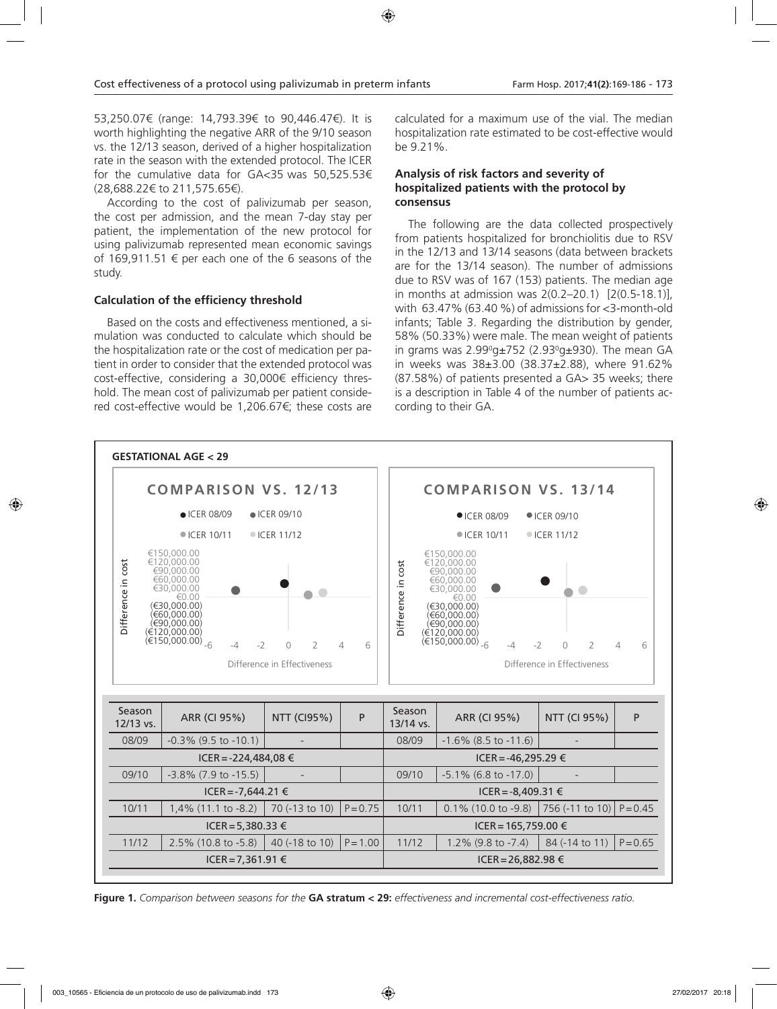53,250.07€ (range: 14,793.39€ to 90,446.47€). It is worth highlighting the negative ARR of the 9/10 season vs. the 12/13 season, derived of a higher hospitalization rate in the season with the extended protocol. The ICER for the cumulative data for GA<35 was 50,525.53€ (28,688.22€ to 211,575.65€).

According to the cost of palivizumab per season, the cost per admission, and the mean 7-day stay per patient, the implementation of the new protocol for using palivizumab represented mean economic savings of 169,911.51 € per each one of the 6 seasons of the study.

# **Calculation of the efficiency threshold**

Based on the costs and effectiveness mentioned, a simulation was conducted to calculate which should be the hospitalization rate or the cost of medication per patient in order to consider that the extended protocol was cost-effective, considering a 30,000€ efficiency threshold. The mean cost of palivizumab per patient considered cost-effective would be 1,206.67€; these costs are calculated for a maximum use of the vial. The median hospitalization rate estimated to be cost-effective would be 9.21%.

#### **Analysis of risk factors and severity of hospitalized patients with the protocol by consensus**

The following are the data collected prospectively from patients hospitalized for bronchiolitis due to RSV in the 12/13 and 13/14 seasons (data between brackets are for the 13/14 season). The number of admissions due to RSV was of 167 (153) patients. The median age in months at admission was 2(0.2–20.1) [2(0.5-18.1)], with 63.47% (63.40 %) of admissions for <3-month-old infants; Table 3. Regarding the distribution by gender, 58% (50.33%) were male. The mean weight of patients in grams was 2.99ºg±752 (2.93ºg±930). The mean GA in weeks was 38±3.00 (38.37±2.88), where 91.62% (87.58%) of patients presented a GA> 35 weeks; there is a description in Table 4 of the number of patients according to their GA.



**Figure 1.** *Comparison between seasons for the* **GA stratum < 29:** *effectiveness and incremental cost-effectiveness ratio.*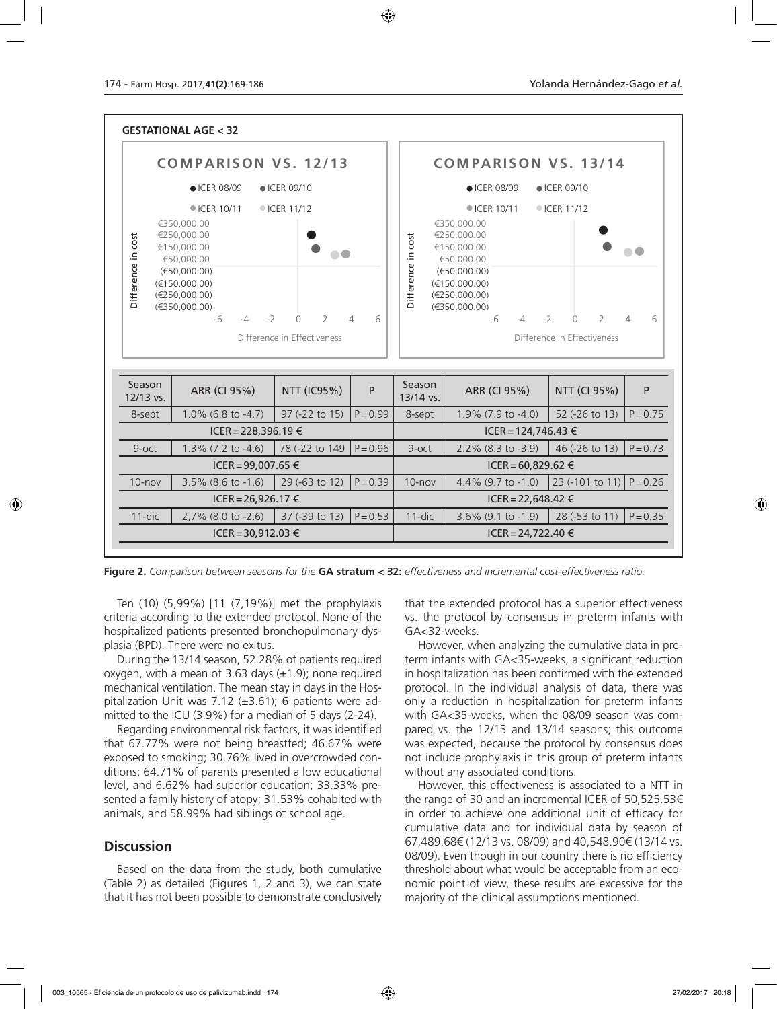

**Figure 2.** *Comparison between seasons for the* **GA stratum < 32:** *effectiveness and incremental cost-effectiveness ratio.*

Ten (10) (5,99%) [11 (7,19%)] met the prophylaxis criteria according to the extended protocol. None of the hospitalized patients presented bronchopulmonary dysplasia (BPD). There were no exitus.

During the 13/14 season, 52.28% of patients required oxygen, with a mean of 3.63 days  $(\pm 1.9)$ ; none required mechanical ventilation. The mean stay in days in the Hospitalization Unit was 7.12 (±3.61); 6 patients were admitted to the ICU (3.9%) for a median of 5 days (2-24).

Regarding environmental risk factors, it was identified that 67.77% were not being breastfed; 46.67% were exposed to smoking; 30.76% lived in overcrowded conditions; 64.71% of parents presented a low educational level, and 6.62% had superior education; 33.33% presented a family history of atopy; 31.53% cohabited with animals, and 58.99% had siblings of school age.

# **Discussion**

Based on the data from the study, both cumulative (Table 2) as detailed (Figures 1, 2 and 3), we can state that it has not been possible to demonstrate conclusively that the extended protocol has a superior effectiveness vs. the protocol by consensus in preterm infants with GA<32-weeks.

However, when analyzing the cumulative data in preterm infants with GA<35-weeks, a significant reduction in hospitalization has been confirmed with the extended protocol. In the individual analysis of data, there was only a reduction in hospitalization for preterm infants with GA<35-weeks, when the 08/09 season was compared vs. the 12/13 and 13/14 seasons; this outcome was expected, because the protocol by consensus does not include prophylaxis in this group of preterm infants without any associated conditions.

However, this effectiveness is associated to a NTT in the range of 30 and an incremental ICER of 50,525.53€ in order to achieve one additional unit of efficacy for cumulative data and for individual data by season of 67,489.68€ (12/13 vs. 08/09) and 40,548.90€ (13/14 vs. 08/09). Even though in our country there is no efficiency threshold about what would be acceptable from an economic point of view, these results are excessive for the majority of the clinical assumptions mentioned.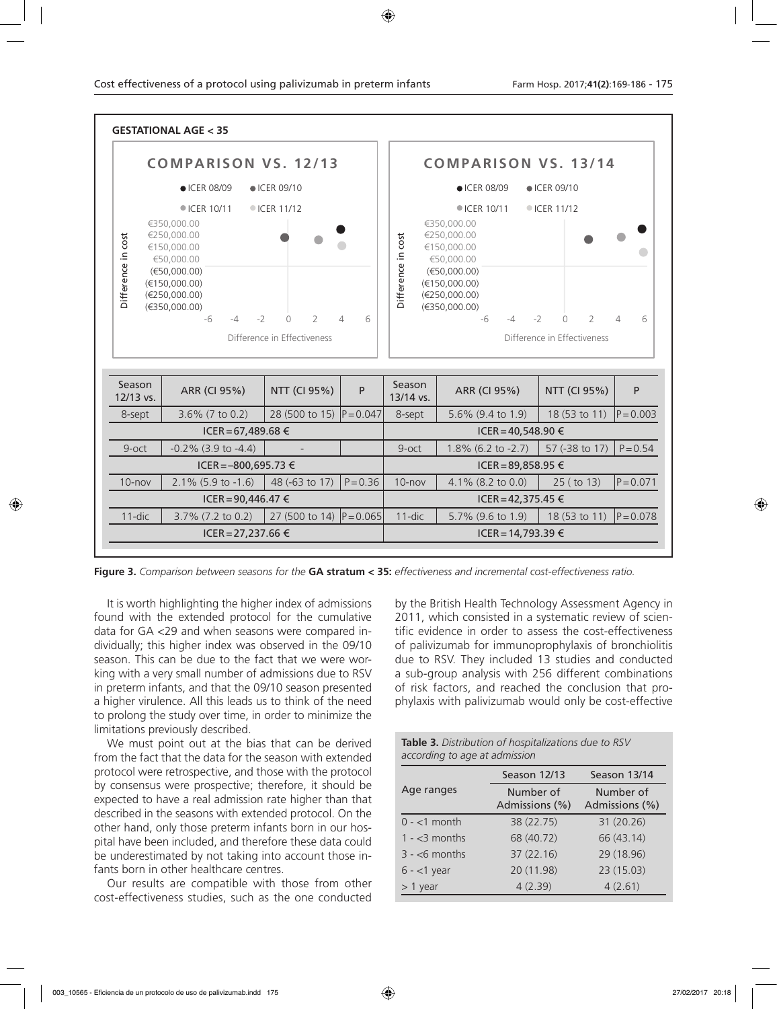

**Figure 3.** *Comparison between seasons for the* **GA stratum < 35:** *effectiveness and incremental cost-effectiveness ratio.* 

It is worth highlighting the higher index of admissions found with the extended protocol for the cumulative data for GA <29 and when seasons were compared individually; this higher index was observed in the 09/10 season. This can be due to the fact that we were working with a very small number of admissions due to RSV in preterm infants, and that the 09/10 season presented a higher virulence. All this leads us to think of the need to prolong the study over time, in order to minimize the limitations previously described.

We must point out at the bias that can be derived from the fact that the data for the season with extended protocol were retrospective, and those with the protocol by consensus were prospective; therefore, it should be expected to have a real admission rate higher than that described in the seasons with extended protocol. On the other hand, only those preterm infants born in our hospital have been included, and therefore these data could be underestimated by not taking into account those infants born in other healthcare centres.

Our results are compatible with those from other cost-effectiveness studies, such as the one conducted by the British Health Technology Assessment Agency in 2011, which consisted in a systematic review of scientific evidence in order to assess the cost-effectiveness of palivizumab for immunoprophylaxis of bronchiolitis due to RSV. They included 13 studies and conducted a sub-group analysis with 256 different combinations of risk factors, and reached the conclusion that prophylaxis with palivizumab would only be cost-effective

| Table 3. Distribution of hospitalizations due to RSV |  |
|------------------------------------------------------|--|
| according to age at admission                        |  |

|                | Season 12/13                | Season 13/14                |
|----------------|-----------------------------|-----------------------------|
| Age ranges     | Number of<br>Admissions (%) | Number of<br>Admissions (%) |
| $0 - 1$ month  | 38 (22.75)                  | 31 (20.26)                  |
| $1 - 3$ months | 68 (40.72)                  | 66 (43.14)                  |
| $3 - 6$ months | 37(22.16)                   | 29 (18.96)                  |
| $6 - 1$ year   | 20 (11.98)                  | 23 (15.03)                  |
| $> 1$ year     | 4(2.39)                     | 4(2.61)                     |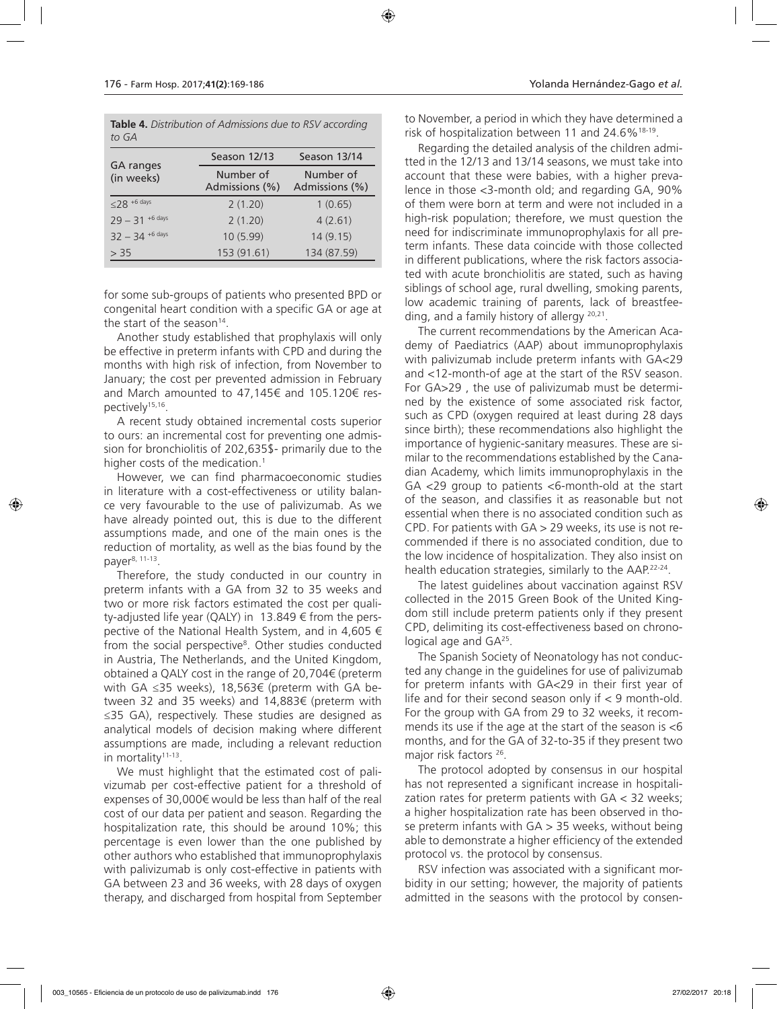|       | Table 4. Distribution of Admissions due to RSV according |
|-------|----------------------------------------------------------|
| to GA |                                                          |

|                                | Season 12/13                | Season 13/14                |  |
|--------------------------------|-----------------------------|-----------------------------|--|
| <b>GA</b> ranges<br>(in weeks) | Number of<br>Admissions (%) | Number of<br>Admissions (%) |  |
| $\leq$ 28 +6 days              | 2(1.20)                     | 1(0.65)                     |  |
| $79 - 31$ +6 days              | 2(1.20)                     | 4(2.61)                     |  |
| $32 - 34$ +6 days              | 10 (5.99)                   | 14(9.15)                    |  |
| > 35                           | 153 (91.61)                 | 134 (87.59)                 |  |

for some sub-groups of patients who presented BPD or congenital heart condition with a specific GA or age at the start of the season $14$ .

Another study established that prophylaxis will only be effective in preterm infants with CPD and during the months with high risk of infection, from November to January; the cost per prevented admission in February and March amounted to 47,145€ and 105.120€ respectively15,16.

A recent study obtained incremental costs superior to ours: an incremental cost for preventing one admission for bronchiolitis of 202,635\$- primarily due to the higher costs of the medication.<sup>1</sup>

However, we can find pharmacoeconomic studies in literature with a cost-effectiveness or utility balance very favourable to the use of palivizumab. As we have already pointed out, this is due to the different assumptions made, and one of the main ones is the reduction of mortality, as well as the bias found by the payer8, 11-13.

Therefore, the study conducted in our country in preterm infants with a GA from 32 to 35 weeks and two or more risk factors estimated the cost per quality-adjusted life year (QALY) in  $13.849 \text{ } \in$  from the perspective of the National Health System, and in 4,605 € from the social perspective<sup>8</sup>. Other studies conducted in Austria, The Netherlands, and the United Kingdom, obtained a QALY cost in the range of 20,704€ (preterm with GA ≤35 weeks), 18,563€ (preterm with GA between 32 and 35 weeks) and 14,883€ (preterm with ≤35 GA), respectively. These studies are designed as analytical models of decision making where different assumptions are made, including a relevant reduction in mortality<sup>11-13</sup>.

We must highlight that the estimated cost of palivizumab per cost-effective patient for a threshold of expenses of 30,000€ would be less than half of the real cost of our data per patient and season. Regarding the hospitalization rate, this should be around 10%; this percentage is even lower than the one published by other authors who established that immunoprophylaxis with palivizumab is only cost-effective in patients with GA between 23 and 36 weeks, with 28 days of oxygen therapy, and discharged from hospital from September

to November, a period in which they have determined a risk of hospitalization between 11 and 24.6%18-19.

Regarding the detailed analysis of the children admitted in the 12/13 and 13/14 seasons, we must take into account that these were babies, with a higher prevalence in those <3-month old; and regarding GA, 90% of them were born at term and were not included in a high-risk population; therefore, we must question the need for indiscriminate immunoprophylaxis for all preterm infants. These data coincide with those collected in different publications, where the risk factors associated with acute bronchiolitis are stated, such as having siblings of school age, rural dwelling, smoking parents, low academic training of parents, lack of breastfeeding, and a family history of allergy 20,21.

The current recommendations by the American Academy of Paediatrics (AAP) about immunoprophylaxis with palivizumab include preterm infants with GA<29 and <12-month-of age at the start of the RSV season. For GA>29 , the use of palivizumab must be determined by the existence of some associated risk factor, such as CPD (oxygen required at least during 28 days since birth); these recommendations also highlight the importance of hygienic-sanitary measures. These are similar to the recommendations established by the Canadian Academy, which limits immunoprophylaxis in the GA <29 group to patients <6-month-old at the start of the season, and classifies it as reasonable but not essential when there is no associated condition such as CPD. For patients with  $GA > 29$  weeks, its use is not recommended if there is no associated condition, due to the low incidence of hospitalization. They also insist on health education strategies, similarly to the AAP.22-24.

The latest guidelines about vaccination against RSV collected in the 2015 Green Book of the United Kingdom still include preterm patients only if they present CPD, delimiting its cost-effectiveness based on chronological age and GA25.

The Spanish Society of Neonatology has not conducted any change in the guidelines for use of palivizumab for preterm infants with GA<29 in their first year of life and for their second season only if  $< 9$  month-old. For the group with GA from 29 to 32 weeks, it recommends its use if the age at the start of the season is  $<6$ months, and for the GA of 32-to-35 if they present two major risk factors <sup>26</sup>.

The protocol adopted by consensus in our hospital has not represented a significant increase in hospitalization rates for preterm patients with GA < 32 weeks; a higher hospitalization rate has been observed in those preterm infants with  $GA > 35$  weeks, without being able to demonstrate a higher efficiency of the extended protocol vs. the protocol by consensus.

RSV infection was associated with a significant morbidity in our setting; however, the majority of patients admitted in the seasons with the protocol by consen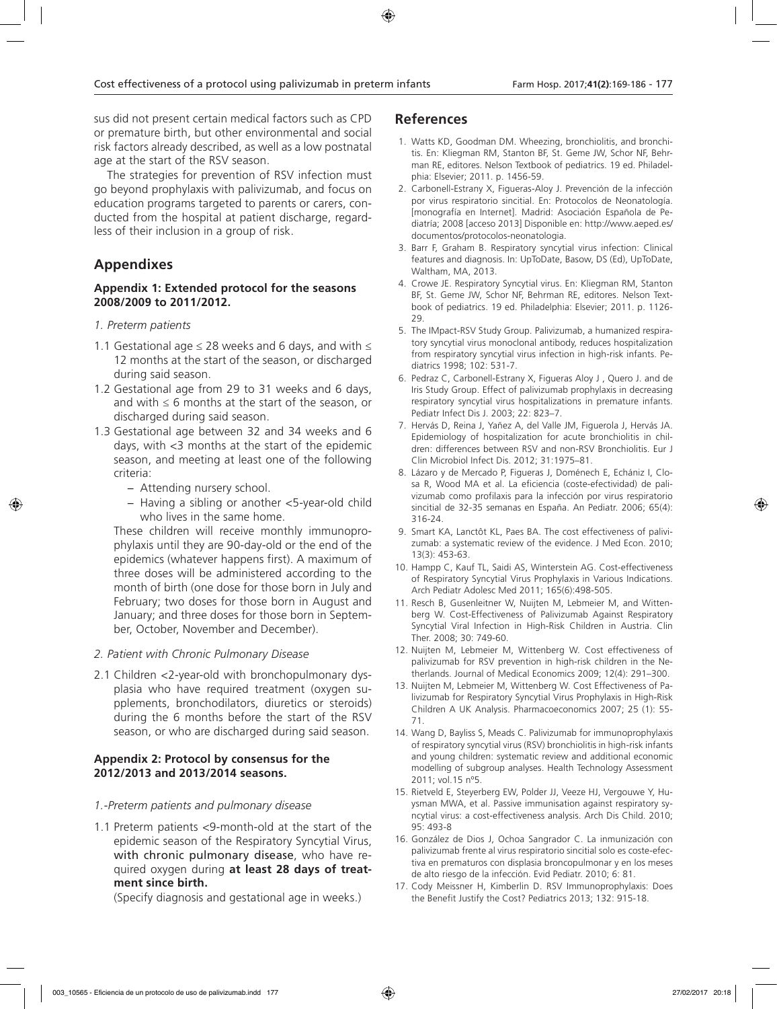sus did not present certain medical factors such as CPD or premature birth, but other environmental and social risk factors already described, as well as a low postnatal age at the start of the RSV season.

The strategies for prevention of RSV infection must go beyond prophylaxis with palivizumab, and focus on education programs targeted to parents or carers, conducted from the hospital at patient discharge, regardless of their inclusion in a group of risk.

# **Appendixes**

# **Appendix 1: Extended protocol for the seasons 2008/2009 to 2011/2012.**

# *1. Preterm patients*

- 1.1 Gestational age  $\leq$  28 weeks and 6 days, and with  $\leq$ 12 months at the start of the season, or discharged during said season.
- 1.2 Gestational age from 29 to 31 weeks and 6 days, and with  $\leq 6$  months at the start of the season, or discharged during said season.
- 1.3 Gestational age between 32 and 34 weeks and 6 days, with <3 months at the start of the epidemic season, and meeting at least one of the following criteria:
	- − Attending nursery school.
	- − Having a sibling or another <5-year-old child who lives in the same home.

These children will receive monthly immunoprophylaxis until they are 90-day-old or the end of the epidemics (whatever happens first). A maximum of three doses will be administered according to the month of birth (one dose for those born in July and February; two doses for those born in August and January; and three doses for those born in September, October, November and December).

# *2. Patient with Chronic Pulmonary Disease*

2.1 Children <2-year-old with bronchopulmonary dysplasia who have required treatment (oxygen supplements, bronchodilators, diuretics or steroids) during the 6 months before the start of the RSV season, or who are discharged during said season.

# **Appendix 2: Protocol by consensus for the 2012/2013 and 2013/2014 seasons.**

#### *1.-Preterm patients and pulmonary disease*

1.1 Preterm patients <9-month-old at the start of the epidemic season of the Respiratory Syncytial Virus, with chronic pulmonary disease, who have required oxygen during **at least 28 days of treatment since birth.**

(Specify diagnosis and gestational age in weeks.)

# **References**

- 1. Watts KD, Goodman DM. Wheezing, bronchiolitis, and bronchitis. En: Kliegman RM, Stanton BF, St. Geme JW, Schor NF, Behrman RE, editores. Nelson Textbook of pediatrics. 19 ed. Philadelphia: Elsevier; 2011. p. 1456-59.
- 2. Carbonell-Estrany X, Figueras-Aloy J. Prevención de la infección por virus respiratorio sincitial. En: Protocolos de Neonatología. [monografía en Internet]. Madrid: Asociación Española de Pediatría; 2008 [acceso 2013] Disponible en: http://www.aeped.es/ documentos/protocolos-neonatologia.
- 3. Barr F, Graham B. Respiratory syncytial virus infection: Clinical features and diagnosis. In: UpToDate, Basow, DS (Ed), UpToDate, Waltham, MA, 2013.
- 4. Crowe JE. Respiratory Syncytial virus. En: Kliegman RM, Stanton BF, St. Geme JW, Schor NF, Behrman RE, editores. Nelson Textbook of pediatrics. 19 ed. Philadelphia: Elsevier; 2011. p. 1126- 29.
- 5. The IMpact-RSV Study Group. Palivizumab, a humanized respiratory syncytial virus monoclonal antibody, reduces hospitalization from respiratory syncytial virus infection in high-risk infants. Pediatrics 1998; 102: 531-7.
- 6. Pedraz C, Carbonell-Estrany X, Figueras Aloy J , Quero J. and de Iris Study Group. Effect of palivizumab prophylaxis in decreasing respiratory syncytial virus hospitalizations in premature infants. Pediatr Infect Dis J. 2003; 22: 823–7.
- 7. Hervás D, Reina J, Yañez A, del Valle JM, Figuerola J, Hervás JA. Epidemiology of hospitalization for acute bronchiolitis in children: differences between RSV and non-RSV Bronchiolitis. Eur J Clin Microbiol Infect Dis. 2012; 31:1975–81.
- 8. Lázaro y de Mercado P, Figueras J, Doménech E, Echániz I, Closa R, Wood MA et al. La eficiencia (coste-efectividad) de palivizumab como profilaxis para la infección por virus respiratorio sincitial de 32-35 semanas en España. An Pediatr. 2006; 65(4): 316-24.
- 9. Smart KA, Lanctôt KL, Paes BA. The cost effectiveness of palivizumab: a systematic review of the evidence. J Med Econ. 2010; 13(3): 453-63.
- 10. Hampp C, Kauf TL, Saidi AS, Winterstein AG. Cost-effectiveness of Respiratory Syncytial Virus Prophylaxis in Various Indications. Arch Pediatr Adolesc Med 2011; 165(6):498-505.
- 11. Resch B, Gusenleitner W, Nuijten M, Lebmeier M, and Wittenberg W. Cost-Effectiveness of Palivizumab Against Respiratory Syncytial Viral Infection in High-Risk Children in Austria. Clin Ther. 2008; 30: 749-60.
- 12. Nuijten M, Lebmeier M, Wittenberg W. Cost effectiveness of palivizumab for RSV prevention in high-risk children in the Netherlands. Journal of Medical Economics 2009; 12(4): 291–300.
- 13. Nuijten M, Lebmeier M, Wittenberg W. Cost Effectiveness of Palivizumab for Respiratory Syncytial Virus Prophylaxis in High-Risk Children A UK Analysis. Pharmacoeconomics 2007; 25 (1): 55- 71.
- 14. Wang D, Bayliss S, Meads C. Palivizumab for immunoprophylaxis of respiratory syncytial virus (RSV) bronchiolitis in high-risk infants and young children: systematic review and additional economic modelling of subgroup analyses. Health Technology Assessment 2011; vol.15 nº5.
- 15. Rietveld E, Steyerberg EW, Polder JJ, Veeze HJ, Vergouwe Y, Huysman MWA, et al. Passive immunisation against respiratory syncytial virus: a cost-effectiveness analysis. Arch Dis Child. 2010; 95: 493-8
- 16. González de Dios J, Ochoa Sangrador C. La inmunización con palivizumab frente al virus respiratorio sincitial solo es coste-efectiva en prematuros con displasia broncopulmonar y en los meses de alto riesgo de la infección. Evid Pediatr. 2010; 6: 81.
- 17. Cody Meissner H, Kimberlin D. RSV Immunoprophylaxis: Does the Benefit Justify the Cost? Pediatrics 2013; 132: 915-18.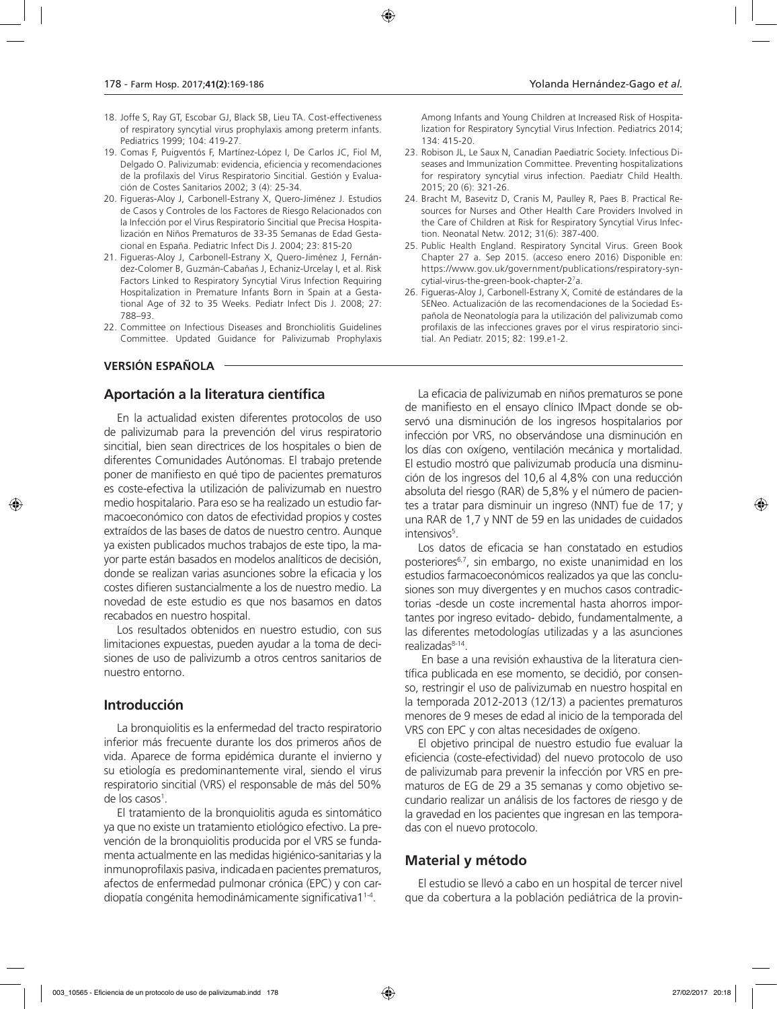- 18. Joffe S, Ray GT, Escobar GJ, Black SB, Lieu TA. Cost-effectiveness of respiratory syncytial virus prophylaxis among preterm infants. Pediatrics 1999; 104: 419-27.
- 19. Comas F, Puigventós F, Martínez-López I, De Carlos JC, Fiol M, Delgado O. Palivizumab: evidencia, eficiencia y recomendaciones de la profilaxis del Virus Respiratorio Sincitial. Gestión y Evaluación de Costes Sanitarios 2002; 3 (4): 25-34.
- 20. Figueras-Aloy J, Carbonell-Estrany X, Quero-Jiménez J. Estudios de Casos y Controles de los Factores de Riesgo Relacionados con la Infección por el Virus Respiratorio Sincitial que Precisa Hospitalización en Niños Prematuros de 33-35 Semanas de Edad Gestacional en España. Pediatric Infect Dis J. 2004; 23: 815-20
- 21. Figueras-Aloy J, Carbonell-Estrany X, Quero-Jiménez J, Fernández-Colomer B, Guzmán-Cabañas J, Echaniz-Urcelay I, et al. Risk Factors Linked to Respiratory Syncytial Virus Infection Requiring Hospitalization in Premature Infants Born in Spain at a Gestational Age of 32 to 35 Weeks. Pediatr Infect Dis J. 2008; 27: 788–93.
- 22. Committee on Infectious Diseases and Bronchiolitis Guidelines Committee. Updated Guidance for Palivizumab Prophylaxis

# **VERSIÓN ESPAÑOLA**

# **Aportación a la literatura científica**

En la actualidad existen diferentes protocolos de uso de palivizumab para la prevención del virus respiratorio sincitial, bien sean directrices de los hospitales o bien de diferentes Comunidades Autónomas. El trabajo pretende poner de manifiesto en qué tipo de pacientes prematuros es coste-efectiva la utilización de palivizumab en nuestro medio hospitalario. Para eso se ha realizado un estudio farmacoeconómico con datos de efectividad propios y costes extraídos de las bases de datos de nuestro centro. Aunque ya existen publicados muchos trabajos de este tipo, la mayor parte están basados en modelos analíticos de decisión, donde se realizan varias asunciones sobre la eficacia y los costes difieren sustancialmente a los de nuestro medio. La novedad de este estudio es que nos basamos en datos recabados en nuestro hospital.

Los resultados obtenidos en nuestro estudio, con sus limitaciones expuestas, pueden ayudar a la toma de decisiones de uso de palivizumb a otros centros sanitarios de nuestro entorno.

#### **Introducción**

La bronquiolitis es la enfermedad del tracto respiratorio inferior más frecuente durante los dos primeros años de vida. Aparece de forma epidémica durante el invierno y su etiología es predominantemente viral, siendo el virus respiratorio sincitial (VRS) el responsable de más del 50% de los casos<sup>1</sup>.

El tratamiento de la bronquiolitis aguda es sintomático ya que no existe un tratamiento etiológico efectivo. La prevención de la bronquiolitis producida por el VRS se fundamenta actualmente en las medidas higiénico-sanitarias y la inmunoprofilaxis pasiva, indicadaen pacientes prematuros, afectos de enfermedad pulmonar crónica (EPC) y con cardiopatía congénita hemodinámicamente significativa11-4.

Among Infants and Young Children at Increased Risk of Hospitalization for Respiratory Syncytial Virus Infection. Pediatrics 2014; 134: 415-20.

- 23. Robison JL, Le Saux N, Canadian Paediatric Society. Infectious Diseases and Immunization Committee. Preventing hospitalizations for respiratory syncytial virus infection. Paediatr Child Health. 2015; 20 (6): 321-26.
- 24. Bracht M, Basevitz D, Cranis M, Paulley R, Paes B. Practical Resources for Nurses and Other Health Care Providers Involved in the Care of Children at Risk for Respiratory Syncytial Virus Infection. Neonatal Netw. 2012; 31(6): 387-400.
- 25. Public Health England. Respiratory Syncital Virus. Green Book Chapter 27 a. Sep 2015. (acceso enero 2016) Disponible en: https://www.gov.uk/government/publications/respiratory-syncytial-virus-the-green-book-chapter-27 a.
- 26. Figueras-Aloy J, Carbonell-Estrany X, Comité de estándares de la SENeo. Actualización de las recomendaciones de la Sociedad Española de Neonatología para la utilización del palivizumab como profilaxis de las infecciones graves por el virus respiratorio sincitial. An Pediatr. 2015; 82: 199.e1-2.

La eficacia de palivizumab en niños prematuros se pone de manifiesto en el ensayo clínico IMpact donde se observó una disminución de los ingresos hospitalarios por infección por VRS, no observándose una disminución en los días con oxígeno, ventilación mecánica y mortalidad. El estudio mostró que palivizumab producía una disminución de los ingresos del 10,6 al 4,8% con una reducción absoluta del riesgo (RAR) de 5,8% y el número de pacientes a tratar para disminuir un ingreso (NNT) fue de 17; y una RAR de 1,7 y NNT de 59 en las unidades de cuidados intensivos<sup>5</sup>.

Los datos de eficacia se han constatado en estudios posteriores6,7, sin embargo, no existe unanimidad en los estudios farmacoeconómicos realizados ya que las conclusiones son muy divergentes y en muchos casos contradictorias -desde un coste incremental hasta ahorros importantes por ingreso evitado- debido, fundamentalmente, a las diferentes metodologías utilizadas y a las asunciones realizadas<sup>8-14</sup>.

 En base a una revisión exhaustiva de la literatura científica publicada en ese momento, se decidió, por consenso, restringir el uso de palivizumab en nuestro hospital en la temporada 2012-2013 (12/13) a pacientes prematuros menores de 9 meses de edad al inicio de la temporada del VRS con EPC y con altas necesidades de oxígeno.

El objetivo principal de nuestro estudio fue evaluar la eficiencia (coste-efectividad) del nuevo protocolo de uso de palivizumab para prevenir la infección por VRS en prematuros de EG de 29 a 35 semanas y como objetivo secundario realizar un análisis de los factores de riesgo y de la gravedad en los pacientes que ingresan en las temporadas con el nuevo protocolo.

# **Material y método**

El estudio se llevó a cabo en un hospital de tercer nivel que da cobertura a la población pediátrica de la provin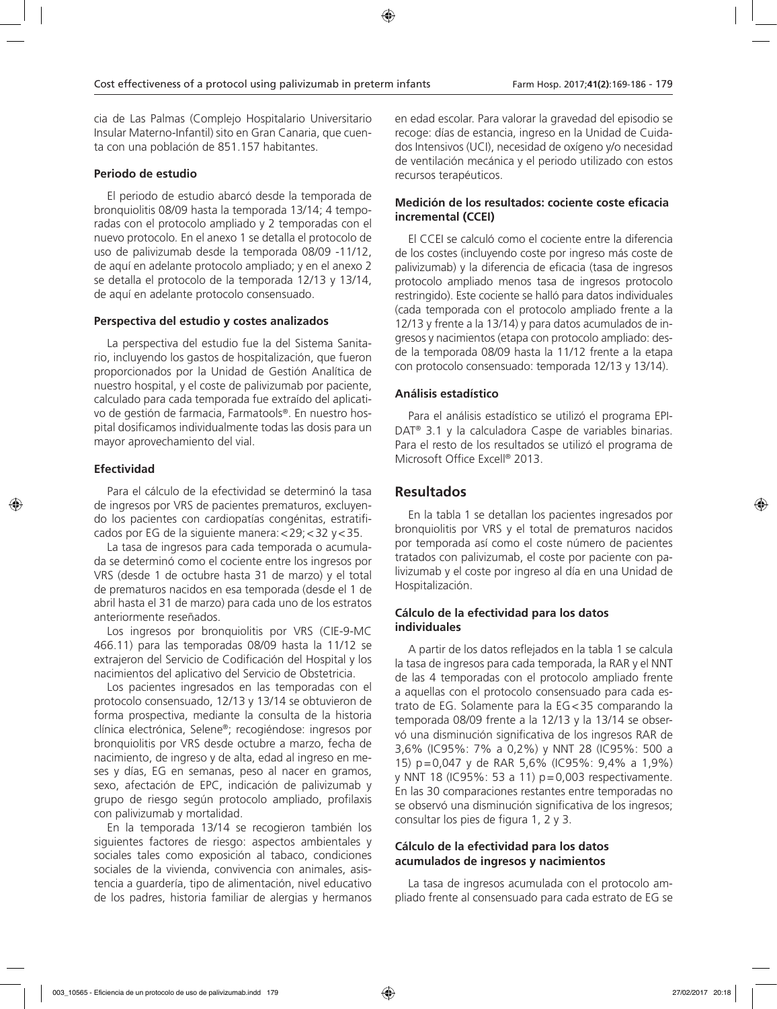cia de Las Palmas (Complejo Hospitalario Universitario Insular Materno-Infantil) sito en Gran Canaria, que cuenta con una población de 851.157 habitantes.

# **Periodo de estudio**

El periodo de estudio abarcó desde la temporada de bronquiolitis 08/09 hasta la temporada 13/14; 4 temporadas con el protocolo ampliado y 2 temporadas con el nuevo protocolo*.* En el anexo 1 se detalla el protocolo de uso de palivizumab desde la temporada 08/09 -11/12, de aquí en adelante protocolo ampliado; y en el anexo 2 se detalla el protocolo de la temporada 12/13 y 13/14, de aquí en adelante protocolo consensuado.

# **Perspectiva del estudio y costes analizados**

La perspectiva del estudio fue la del Sistema Sanitario, incluyendo los gastos de hospitalización, que fueron proporcionados por la Unidad de Gestión Analítica de nuestro hospital, y el coste de palivizumab por paciente, calculado para cada temporada fue extraído del aplicativo de gestión de farmacia, Farmatools®. En nuestro hospital dosificamos individualmente todas las dosis para un mayor aprovechamiento del vial.

# **Efectividad**

Para el cálculo de la efectividad se determinó la tasa de ingresos por VRS de pacientes prematuros, excluyendo los pacientes con cardiopatías congénitas, estratificados por EG de la siguiente manera:<29;<32 y<35.

La tasa de ingresos para cada temporada o acumulada se determinó como el cociente entre los ingresos por VRS (desde 1 de octubre hasta 31 de marzo) y el total de prematuros nacidos en esa temporada (desde el 1 de abril hasta el 31 de marzo) para cada uno de los estratos anteriormente reseñados.

Los ingresos por bronquiolitis por VRS (CIE-9-MC 466.11) para las temporadas 08/09 hasta la 11/12 se extrajeron del Servicio de Codificación del Hospital y los nacimientos del aplicativo del Servicio de Obstetricia.

Los pacientes ingresados en las temporadas con el protocolo consensuado, 12/13 y 13/14 se obtuvieron de forma prospectiva, mediante la consulta de la historia clínica electrónica, Selene®; recogiéndose: ingresos por bronquiolitis por VRS desde octubre a marzo, fecha de nacimiento, de ingreso y de alta, edad al ingreso en meses y días, EG en semanas, peso al nacer en gramos, sexo, afectación de EPC, indicación de palivizumab y grupo de riesgo según protocolo ampliado, profilaxis con palivizumab y mortalidad.

En la temporada 13/14 se recogieron también los siguientes factores de riesgo: aspectos ambientales y sociales tales como exposición al tabaco, condiciones sociales de la vivienda, convivencia con animales, asistencia a guardería, tipo de alimentación, nivel educativo de los padres, historia familiar de alergias y hermanos

en edad escolar. Para valorar la gravedad del episodio se recoge: días de estancia, ingreso en la Unidad de Cuidados Intensivos (UCI), necesidad de oxígeno y/o necesidad de ventilación mecánica y el periodo utilizado con estos recursos terapéuticos.

# **Medición de los resultados: cociente coste eficacia incremental (CCEI)**

El CCEI se calculó como el cociente entre la diferencia de los costes (incluyendo coste por ingreso más coste de palivizumab) y la diferencia de eficacia (tasa de ingresos protocolo ampliado menos tasa de ingresos protocolo restringido). Este cociente se halló para datos individuales (cada temporada con el protocolo ampliado frente a la 12/13 y frente a la 13/14) y para datos acumulados de ingresos y nacimientos (etapa con protocolo ampliado: desde la temporada 08/09 hasta la 11/12 frente a la etapa con protocolo consensuado: temporada 12/13 y 13/14).

# **Análisis estadístico**

Para el análisis estadístico se utilizó el programa EPI-DAT® 3.1 y la calculadora Caspe de variables binarias. Para el resto de los resultados se utilizó el programa de Microsoft Office Excell® 2013.

# **Resultados**

En la tabla 1 se detallan los pacientes ingresados por bronquiolitis por VRS y el total de prematuros nacidos por temporada así como el coste número de pacientes tratados con palivizumab, el coste por paciente con palivizumab y el coste por ingreso al día en una Unidad de Hospitalización.

# **Cálculo de la efectividad para los datos individuales**

A partir de los datos reflejados en la tabla 1 se calcula la tasa de ingresos para cada temporada, la RAR y el NNT de las 4 temporadas con el protocolo ampliado frente a aquellas con el protocolo consensuado para cada estrato de EG. Solamente para la EG<35 comparando la temporada 08/09 frente a la 12/13 y la 13/14 se observó una disminución significativa de los ingresos RAR de 3,6% (IC95%: 7% a 0,2%) y NNT 28 (IC95%: 500 a 15) p=0,047 y de RAR 5,6% (IC95%: 9,4% a 1,9%) y NNT 18 (IC95%: 53 a 11) p=0,003 respectivamente. En las 30 comparaciones restantes entre temporadas no se observó una disminución significativa de los ingresos; consultar los pies de figura 1, 2 y 3.

# **Cálculo de la efectividad para los datos acumulados de ingresos y nacimientos**

La tasa de ingresos acumulada con el protocolo ampliado frente al consensuado para cada estrato de EG se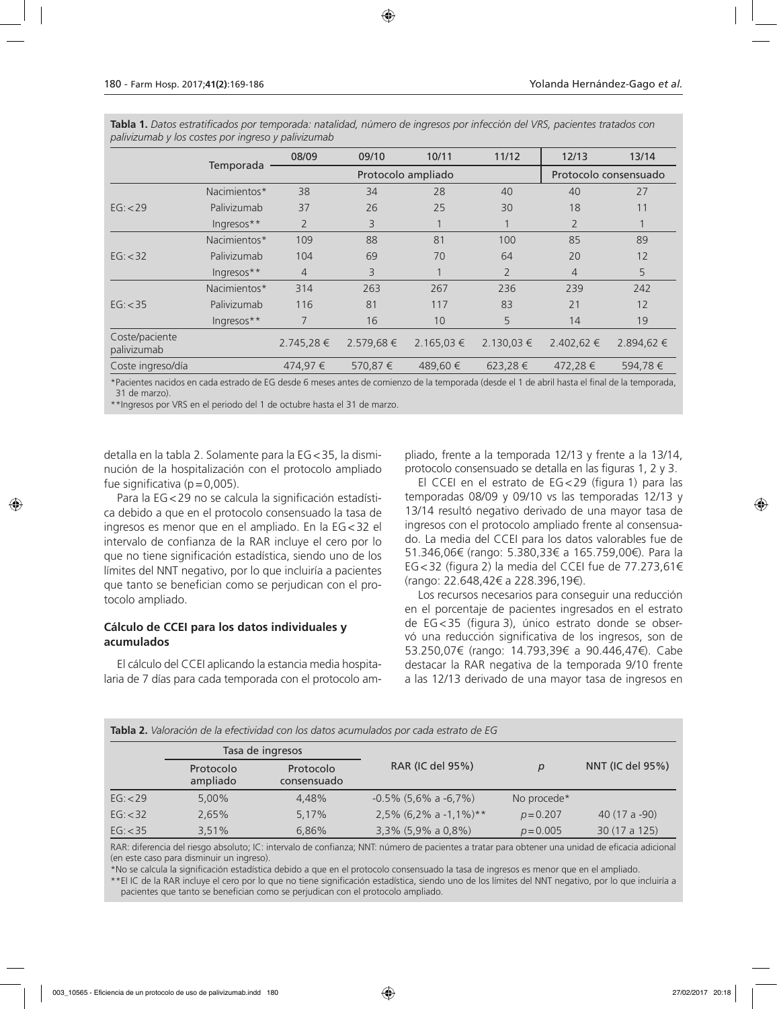|                               |              | 08/09          | 09/10     | 10/11              | 11/12          | 12/13                 | 13/14      |
|-------------------------------|--------------|----------------|-----------|--------------------|----------------|-----------------------|------------|
|                               | Temporada    |                |           | Protocolo ampliado |                | Protocolo consensuado |            |
|                               | Nacimientos* | 38             | 34        | 28                 | 40             | 40                    | 27         |
| EG: < 29                      | Palivizumab  | 37             | 26        | 25                 | 30             | 18                    | 11         |
|                               | Ingresos**   | $\overline{2}$ | 3         |                    |                | $\overline{2}$        |            |
|                               | Nacimientos* | 109            | 88        | 81                 | 100            | 85                    | 89         |
| EG: < 32                      | Palivizumab  | 104            | 69        | 70                 | 64             | 20                    | 12         |
|                               | Ingresos**   | $\overline{4}$ | 3         | $\mathbf{1}$       | $\overline{2}$ | $\overline{4}$        | 5          |
|                               | Nacimientos* | 314            | 263       | 267                | 236            | 239                   | 242        |
| EG: < 35                      | Palivizumab  | 116            | 81        | 117                | 83             | 21                    | 12         |
|                               | Ingresos**   | 7              | 16        | 10                 | 5              | 14                    | 19         |
| Coste/paciente<br>palivizumab |              | $2.745,28 \in$ | 2.579,68€ | $2.165,03 \in$     | $2.130,03 \in$ | 2.402,62 €            | 2.894,62 € |
| Coste ingreso/día             |              | 474,97 €       | 570,87 €  | 489,60 €           | 623,28€        | 472,28€               | 594,78€    |

**Tabla 1.** *Datos estratificados por temporada: natalidad, número de ingresos por infección del VRS, pacientes tratados con palivizumab y los costes por ingreso y palivizumab*

\*Pacientes nacidos en cada estrado de EG desde 6 meses antes de comienzo de la temporada (desde el 1 de abril hasta el final de la temporada, 31 de marzo).

\*\*Ingresos por VRS en el periodo del 1 de octubre hasta el 31 de marzo.

detalla en la tabla 2. Solamente para la EG<35, la disminución de la hospitalización con el protocolo ampliado fue significativa ( $p=0,005$ ).

Para la EG<29 no se calcula la significación estadística debido a que en el protocolo consensuado la tasa de ingresos es menor que en el ampliado. En la EG<32 el intervalo de confianza de la RAR incluye el cero por lo que no tiene significación estadística, siendo uno de los límites del NNT negativo, por lo que incluiría a pacientes que tanto se benefician como se perjudican con el protocolo ampliado.

# **Cálculo de CCEI para los datos individuales y acumulados**

**Tabla 2.** *Valoración de la efectividad con los datos acumulados por cada estrato de EG*

El cálculo del CCEI aplicando la estancia media hospitalaria de 7 días para cada temporada con el protocolo ampliado, frente a la temporada 12/13 y frente a la 13/14, protocolo consensuado se detalla en las figuras 1, 2 y 3.

El CCEI en el estrato de EG<29 (figura 1) para las temporadas 08/09 y 09/10 vs las temporadas 12/13 y 13/14 resultó negativo derivado de una mayor tasa de ingresos con el protocolo ampliado frente al consensuado. La media del CCEI para los datos valorables fue de 51.346,06€ (rango: 5.380,33€ a 165.759,00€). Para la EG<32 (figura 2) la media del CCEI fue de 77.273,61€ (rango: 22.648,42€ a 228.396,19€).

Los recursos necesarios para conseguir una reducción en el porcentaje de pacientes ingresados en el estrato de EG<35 (figura 3), único estrato donde se observó una reducción significativa de los ingresos, son de 53.250,07€ (rango: 14.793,39€ a 90.446,47€). Cabe destacar la RAR negativa de la temporada 9/10 frente a las 12/13 derivado de una mayor tasa de ingresos en

| <b>Tabla 2.</b> ValoidClori de la efectividad con los datos acumulados por cada estrato de EG. |                       |                          |                             |              |                  |  |
|------------------------------------------------------------------------------------------------|-----------------------|--------------------------|-----------------------------|--------------|------------------|--|
|                                                                                                | Tasa de ingresos      |                          |                             |              |                  |  |
|                                                                                                | Protocolo<br>ampliado | Protocolo<br>consensuado | RAR (IC del 95%)            | $\mathsf{D}$ | NNT (IC del 95%) |  |
| EG: < 29                                                                                       | $5.00\%$              | 4.48%                    | $-0.5\%$ (5,6% a $-6.7\%$ ) | No procede*  |                  |  |
| EG: < 32                                                                                       | 2.65%                 | 5,17%                    | 2,5% (6,2% a -1,1%)**       | $p = 0.207$  | 40 $(17a - 90)$  |  |
| EG: < 35                                                                                       | 3.51%                 | 6.86%                    | $3,3\%$ (5,9% a 0,8%)       | $p = 0.005$  | 30 (17 a 125)    |  |

RAR: diferencia del riesgo absoluto; IC: intervalo de confianza; NNT: número de pacientes a tratar para obtener una unidad de eficacia adicional (en este caso para disminuir un ingreso).

\*No se calcula la significación estadística debido a que en el protocolo consensuado la tasa de ingresos es menor que en el ampliado. \*\*El IC de la RAR incluye el cero por lo que no tiene significación estadística, siendo uno de los límites del NNT negativo, por lo que incluiría a pacientes que tanto se benefician como se perjudican con el protocolo ampliado.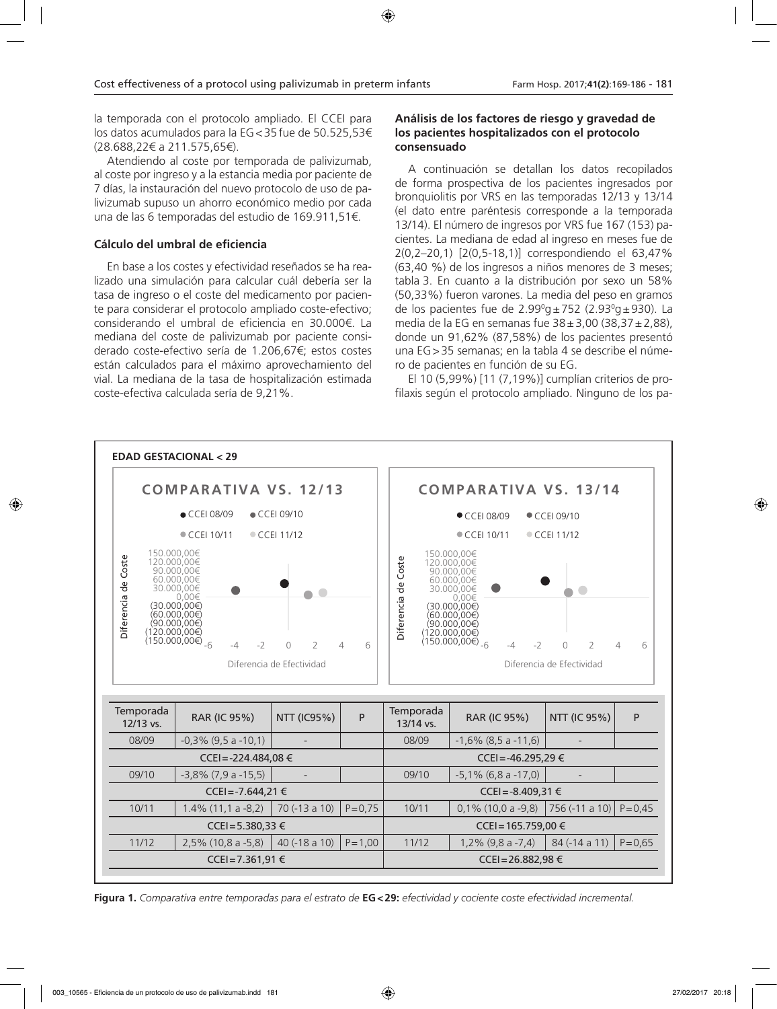la temporada con el protocolo ampliado. El CCEI para los datos acumulados para la EG<35 fue de 50.525,53€ (28.688,22€ a 211.575,65€).

Atendiendo al coste por temporada de palivizumab, al coste por ingreso y a la estancia media por paciente de 7 días, la instauración del nuevo protocolo de uso de palivizumab supuso un ahorro económico medio por cada una de las 6 temporadas del estudio de 169.911,51€.

# **Cálculo del umbral de eficiencia**

En base a los costes y efectividad reseñados se ha realizado una simulación para calcular cuál debería ser la tasa de ingreso o el coste del medicamento por paciente para considerar el protocolo ampliado coste-efectivo; considerando el umbral de eficiencia en 30.000€. La mediana del coste de palivizumab por paciente considerado coste-efectivo sería de 1.206,67€; estos costes están calculados para el máximo aprovechamiento del vial. La mediana de la tasa de hospitalización estimada coste-efectiva calculada sería de 9,21%.

# **Análisis de los factores de riesgo y gravedad de los pacientes hospitalizados con el protocolo consensuado**

A continuación se detallan los datos recopilados de forma prospectiva de los pacientes ingresados por bronquiolitis por VRS en las temporadas 12/13 y 13/14 (el dato entre paréntesis corresponde a la temporada 13/14). El número de ingresos por VRS fue 167 (153) pacientes. La mediana de edad al ingreso en meses fue de 2(0,2–20,1) [2(0,5-18,1)] correspondiendo el 63,47% (63,40 %) de los ingresos a niños menores de 3 meses; tabla 3. En cuanto a la distribución por sexo un 58% (50,33%) fueron varones. La media del peso en gramos de los pacientes fue de 2.99ºg±752 (2.93ºg±930). La media de la EG en semanas fue  $38 \pm 3.00$  (38.37 $\pm$ 2.88), donde un 91,62% (87,58%) de los pacientes presentó una EG>35 semanas; en la tabla 4 se describe el número de pacientes en función de su EG.

El 10 (5,99%) [11 (7,19%)] cumplían criterios de profilaxis según el protocolo ampliado. Ninguno de los pa-



**Figura 1.** *Comparativa entre temporadas para el estrato de* **EG<29:** *efectividad y cociente coste efectividad incremental.*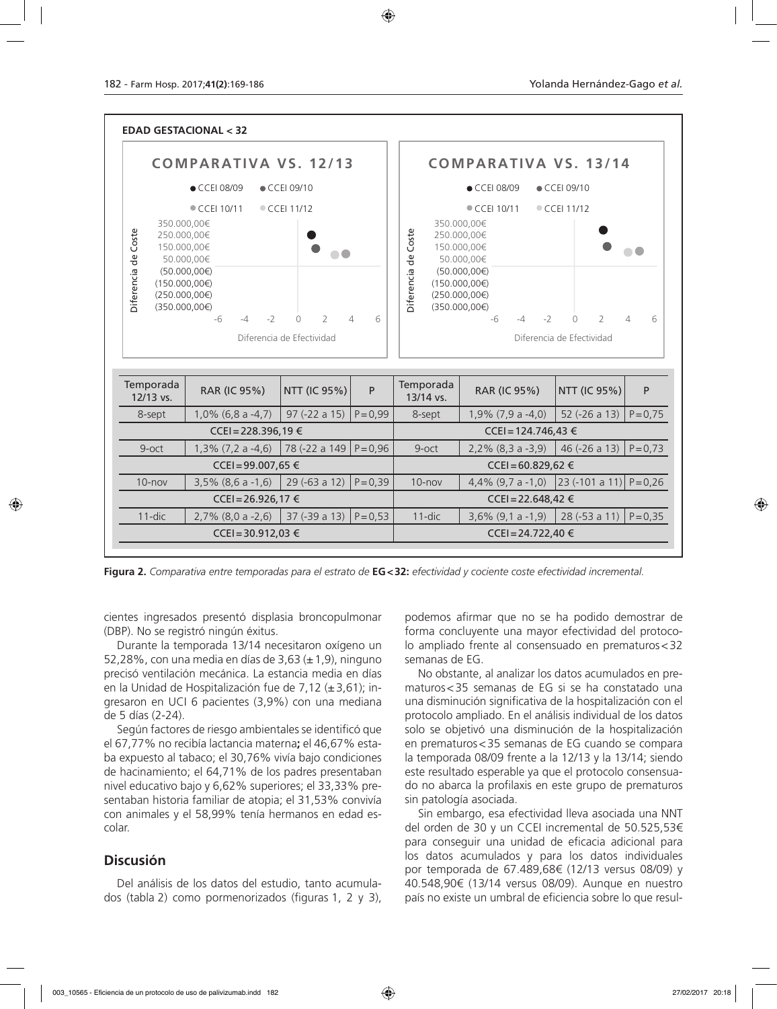

**Figura 2.** *Comparativa entre temporadas para el estrato de* **EG<32:** *efectividad y cociente coste efectividad incremental.*

cientes ingresados presentó displasia broncopulmonar (DBP). No se registró ningún éxitus.

Durante la temporada 13/14 necesitaron oxígeno un 52,28%, con una media en días de 3,63  $(\pm 1, 9)$ , ninguno precisó ventilación mecánica. La estancia media en días en la Unidad de Hospitalización fue de 7,12 (±3,61); ingresaron en UCI 6 pacientes (3,9%) con una mediana de 5 días (2-24).

Según factores de riesgo ambientales se identificó que el 67,77% no recibía lactancia materna**;** el 46,67% estaba expuesto al tabaco; el 30,76% vivía bajo condiciones de hacinamiento; el 64,71% de los padres presentaban nivel educativo bajo y 6,62% superiores; el 33,33% presentaban historia familiar de atopia; el 31,53% convivía con animales y el 58,99% tenía hermanos en edad escolar.

# **Discusión**

Del análisis de los datos del estudio, tanto acumulados (tabla 2) como pormenorizados (figuras 1, 2 y 3), podemos afirmar que no se ha podido demostrar de forma concluyente una mayor efectividad del protocolo ampliado frente al consensuado en prematuros<32 semanas de EG.

No obstante, al analizar los datos acumulados en prematuros<35 semanas de EG si se ha constatado una una disminución significativa de la hospitalización con el protocolo ampliado. En el análisis individual de los datos solo se objetivó una disminución de la hospitalización en prematuros<35 semanas de EG cuando se compara la temporada 08/09 frente a la 12/13 y la 13/14; siendo este resultado esperable ya que el protocolo consensuado no abarca la profilaxis en este grupo de prematuros sin patología asociada.

Sin embargo, esa efectividad lleva asociada una NNT del orden de 30 y un CCEI incremental de 50.525,53€ para conseguir una unidad de eficacia adicional para los datos acumulados y para los datos individuales por temporada de 67.489,68€ (12/13 versus 08/09) y 40.548,90€ (13/14 versus 08/09). Aunque en nuestro país no existe un umbral de eficiencia sobre lo que resul-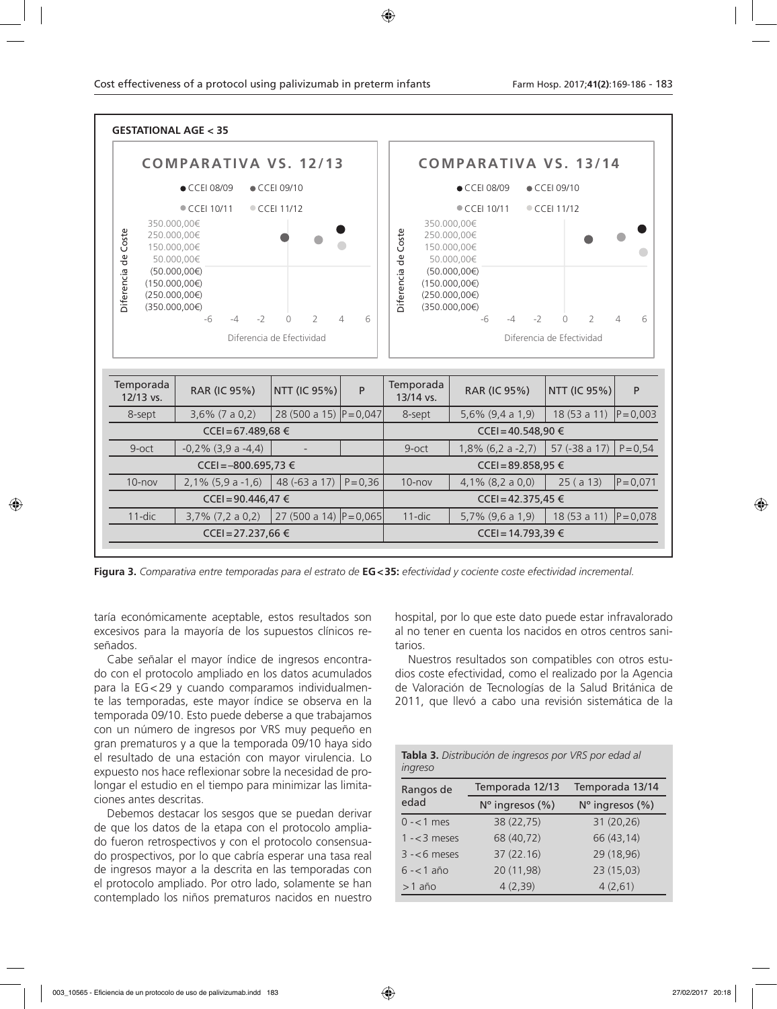

**Figura 3.** *Comparativa entre temporadas para el estrato de* **EG<35:** *efectividad y cociente coste efectividad incremental.*

taría económicamente aceptable, estos resultados son excesivos para la mayoría de los supuestos clínicos reseñados.

Cabe señalar el mayor índice de ingresos encontrado con el protocolo ampliado en los datos acumulados para la EG<29 y cuando comparamos individualmente las temporadas, este mayor índice se observa en la temporada 09/10. Esto puede deberse a que trabajamos con un número de ingresos por VRS muy pequeño en gran prematuros y a que la temporada 09/10 haya sido el resultado de una estación con mayor virulencia. Lo expuesto nos hace reflexionar sobre la necesidad de prolongar el estudio en el tiempo para minimizar las limitaciones antes descritas.

Debemos destacar los sesgos que se puedan derivar de que los datos de la etapa con el protocolo ampliado fueron retrospectivos y con el protocolo consensuado prospectivos, por lo que cabría esperar una tasa real de ingresos mayor a la descrita en las temporadas con el protocolo ampliado. Por otro lado, solamente se han contemplado los niños prematuros nacidos en nuestro

hospital, por lo que este dato puede estar infravalorado al no tener en cuenta los nacidos en otros centros sanitarios.

Nuestros resultados son compatibles con otros estudios coste efectividad, como el realizado por la Agencia de Valoración de Tecnologías de la Salud Británica de 2011, que llevó a cabo una revisión sistemática de la

|         |  | Tabla 3. Distribución de ingresos por VRS por edad al |
|---------|--|-------------------------------------------------------|
| ingreso |  |                                                       |

| Rangos de       | Temporada 12/13 | Temporada 13/14 |  |  |
|-----------------|-----------------|-----------------|--|--|
| edad            | N° ingresos (%) | N° ingresos (%) |  |  |
| $0 - 1$ mes     | 38 (22,75)      | 31 (20,26)      |  |  |
| $1 - < 3$ meses | 68 (40,72)      | 66 (43,14)      |  |  |
| $3 - 6$ meses   | 37 (22.16)      | 29 (18,96)      |  |  |
| $6 - 1$ año     | 20 (11,98)      | 23(15,03)       |  |  |
| $>1$ año        | 4(2,39)         | 4(2,61)         |  |  |
|                 |                 |                 |  |  |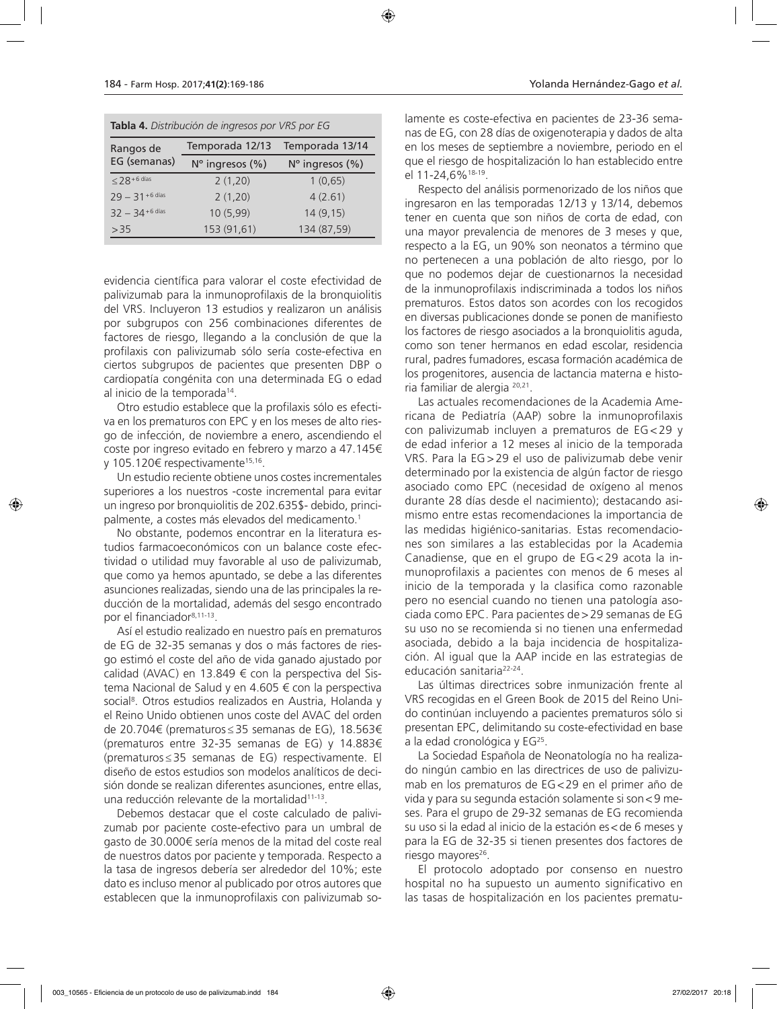| Tabla 4. Distribución de ingresos por VRS por EG |                 |                          |  |  |  |
|--------------------------------------------------|-----------------|--------------------------|--|--|--|
| Rangos de                                        | Temporada 12/13 | Temporada 13/14          |  |  |  |
| EG (semanas)                                     | N° ingresos (%) | $N^{\circ}$ ingresos (%) |  |  |  |
| $\leq$ 28 + 6 días                               | 2(1,20)         | 1(0,65)                  |  |  |  |
| $29 - 31 + 6$ días                               | 2(1,20)         | 4(2.61)                  |  |  |  |
| $32 - 34 + 6$ días                               | 10 (5,99)       | 14(9,15)                 |  |  |  |
| >35                                              | 153 (91,61)     | 134 (87,59)              |  |  |  |

evidencia científica para valorar el coste efectividad de palivizumab para la inmunoprofilaxis de la bronquiolitis del VRS. Incluyeron 13 estudios y realizaron un análisis por subgrupos con 256 combinaciones diferentes de factores de riesgo, llegando a la conclusión de que la profilaxis con palivizumab sólo sería coste-efectiva en ciertos subgrupos de pacientes que presenten DBP o cardiopatía congénita con una determinada EG o edad al inicio de la temporada14.

Otro estudio establece que la profilaxis sólo es efectiva en los prematuros con EPC y en los meses de alto riesgo de infección, de noviembre a enero, ascendiendo el coste por ingreso evitado en febrero y marzo a 47.145€ y 105.120€ respectivamente<sup>15,16</sup>.

Un estudio reciente obtiene unos costes incrementales superiores a los nuestros -coste incremental para evitar un ingreso por bronquiolitis de 202.635\$- debido, principalmente, a costes más elevados del medicamento.<sup>1</sup>

No obstante, podemos encontrar en la literatura estudios farmacoeconómicos con un balance coste efectividad o utilidad muy favorable al uso de palivizumab, que como ya hemos apuntado, se debe a las diferentes asunciones realizadas, siendo una de las principales la reducción de la mortalidad, además del sesgo encontrado por el financiador8,11-13.

Así el estudio realizado en nuestro país en prematuros de EG de 32-35 semanas y dos o más factores de riesgo estimó el coste del año de vida ganado ajustado por calidad (AVAC) en 13.849 € con la perspectiva del Sistema Nacional de Salud y en 4.605 € con la perspectiva social<sup>8</sup>. Otros estudios realizados en Austria, Holanda y el Reino Unido obtienen unos coste del AVAC del orden de 20.704€ (prematuros≤35 semanas de EG), 18.563€ (prematuros entre 32-35 semanas de EG) y 14.883€ (prematuros≤35 semanas de EG) respectivamente. El diseño de estos estudios son modelos analíticos de decisión donde se realizan diferentes asunciones, entre ellas, una reducción relevante de la mortalidad11-13.

Debemos destacar que el coste calculado de palivizumab por paciente coste-efectivo para un umbral de gasto de 30.000€ sería menos de la mitad del coste real de nuestros datos por paciente y temporada. Respecto a la tasa de ingresos debería ser alrededor del 10%; este dato es incluso menor al publicado por otros autores que establecen que la inmunoprofilaxis con palivizumab solamente es coste-efectiva en pacientes de 23-36 semanas de EG, con 28 días de oxigenoterapia y dados de alta en los meses de septiembre a noviembre, periodo en el que el riesgo de hospitalización lo han establecido entre el 11-24,6%18-19.

Respecto del análisis pormenorizado de los niños que ingresaron en las temporadas 12/13 y 13/14, debemos tener en cuenta que son niños de corta de edad, con una mayor prevalencia de menores de 3 meses y que, respecto a la EG, un 90% son neonatos a término que no pertenecen a una población de alto riesgo, por lo que no podemos dejar de cuestionarnos la necesidad de la inmunoprofilaxis indiscriminada a todos los niños prematuros. Estos datos son acordes con los recogidos en diversas publicaciones donde se ponen de manifiesto los factores de riesgo asociados a la bronquiolitis aguda, como son tener hermanos en edad escolar, residencia rural, padres fumadores, escasa formación académica de los progenitores, ausencia de lactancia materna e historia familiar de alergia 20,21.

Las actuales recomendaciones de la Academia Americana de Pediatría (AAP) sobre la inmunoprofilaxis con palivizumab incluyen a prematuros de EG <29 y de edad inferior a 12 meses al inicio de la temporada VRS. Para la EG >29 el uso de palivizumab debe venir determinado por la existencia de algún factor de riesgo asociado como EPC (necesidad de oxígeno al menos durante 28 días desde el nacimiento); destacando asimismo entre estas recomendaciones la importancia de las medidas higiénico-sanitarias. Estas recomendaciones son similares a las establecidas por la Academia Canadiense, que en el grupo de EG <29 acota la inmunoprofilaxis a pacientes con menos de 6 meses al inicio de la temporada y la clasifica como razonable pero no esencial cuando no tienen una patología asociada como EPC. Para pacientes de>29 semanas de EG su uso no se recomienda si no tienen una enfermedad asociada, debido a la baja incidencia de hospitalización. Al igual que la AAP incide en las estrategias de educación sanitaria22-24.

Las últimas directrices sobre inmunización frente al VRS recogidas en el Green Book de 2015 del Reino Unido continúan incluyendo a pacientes prematuros sólo si presentan EPC, delimitando su coste-efectividad en base a la edad cronológica y EG<sup>25</sup>.

La Sociedad Española de Neonatología no ha realizado ningún cambio en las directrices de uso de palivizumab en los prematuros de EG<29 en el primer año de vida y para su segunda estación solamente si son<9 meses. Para el grupo de 29-32 semanas de EG recomienda su uso si la edad al inicio de la estación es<de 6 meses y para la EG de 32-35 si tienen presentes dos factores de riesgo mayores<sup>26</sup>.

El protocolo adoptado por consenso en nuestro hospital no ha supuesto un aumento significativo en las tasas de hospitalización en los pacientes prematu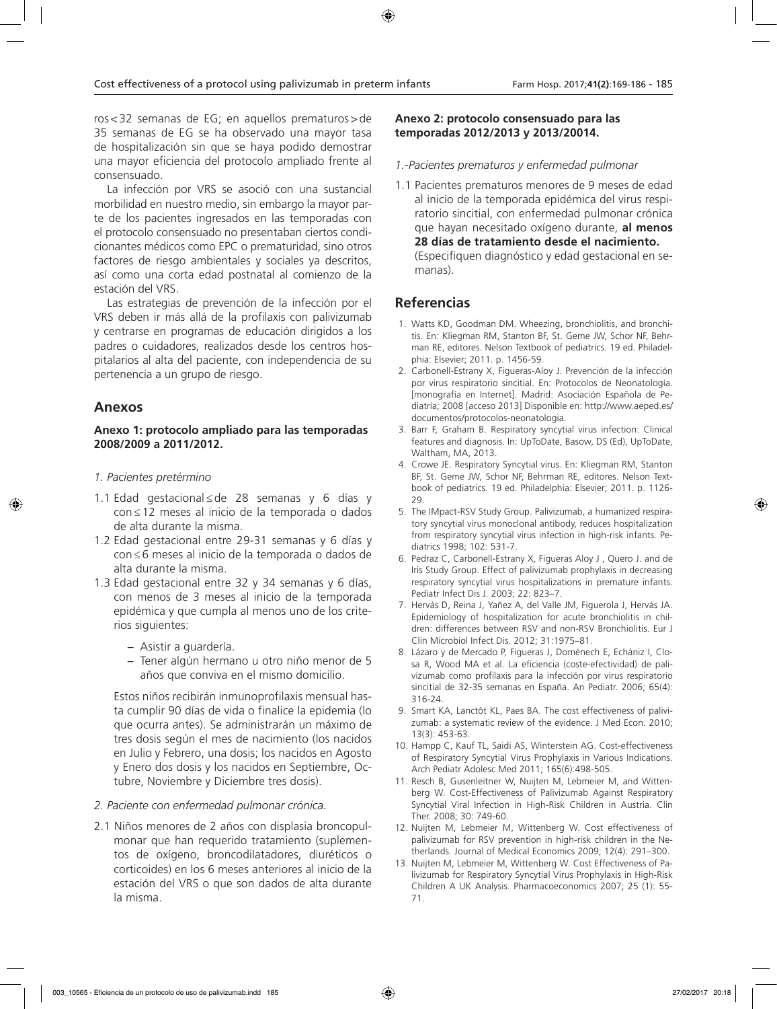ros<32 semanas de EG; en aquellos prematuros>de 35 semanas de EG se ha observado una mayor tasa de hospitalización sin que se haya podido demostrar una mayor eficiencia del protocolo ampliado frente al consensuado.

La infección por VRS se asoció con una sustancial morbilidad en nuestro medio, sin embargo la mayor parte de los pacientes ingresados en las temporadas con el protocolo consensuado no presentaban ciertos condicionantes médicos como EPC o prematuridad, sino otros factores de riesgo ambientales y sociales ya descritos, así como una corta edad postnatal al comienzo de la estación del VRS.

Las estrategias de prevención de la infección por el VRS deben ir más allá de la profilaxis con palivizumab y centrarse en programas de educación dirigidos a los padres o cuidadores, realizados desde los centros hospitalarios al alta del paciente, con independencia de su pertenencia a un grupo de riesgo.

# **Anexos**

# **Anexo 1: protocolo ampliado para las temporadas 2008/2009 a 2011/2012.**

- *1. Pacientes pretérmino*
- 1.1 Edad gestacional ≤ de 28 semanas y 6 días y con ≤ 12 meses al inicio de la temporada o dados de alta durante la misma.
- 1.2 Edad gestacional entre 29-31 semanas y 6 días y con ≤ 6 meses al inicio de la temporada o dados de alta durante la misma.
- 1.3 Edad gestacional entre 32 y 34 semanas y 6 días, con menos de 3 meses al inicio de la temporada epidémica y que cumpla al menos uno de los criterios siguientes:
	- − Asistir a guardería.
	- − Tener algún hermano u otro niño menor de 5 años que conviva en el mismo domicilio.

Estos niños recibirán inmunoprofilaxis mensual hasta cumplir 90 días de vida o finalice la epidemia (lo que ocurra antes). Se administrarán un máximo de tres dosis según el mes de nacimiento (los nacidos en Julio y Febrero, una dosis; los nacidos en Agosto y Enero dos dosis y los nacidos en Septiembre, Octubre, Noviembre y Diciembre tres dosis).

# *2. Paciente con enfermedad pulmonar crónica.*

2.1 Niños menores de 2 años con displasia broncopulmonar que han requerido tratamiento (suplementos de oxígeno, broncodilatadores, diuréticos o corticoides) en los 6 meses anteriores al inicio de la estación del VRS o que son dados de alta durante la misma.

# **Anexo 2: protocolo consensuado para las temporadas 2012/2013 y 2013/20014.**

#### *1.-Pacientes prematuros y enfermedad pulmonar*

1.1 Pacientes prematuros menores de 9 meses de edad al inicio de la temporada epidémica del virus respiratorio sincitial, con enfermedad pulmonar crónica que hayan necesitado oxígeno durante, **al menos 28 días de tratamiento desde el nacimiento.** (Especifiquen diagnóstico y edad gestacional en semanas).

# **Referencias**

- 1. Watts KD, Goodman DM. Wheezing, bronchiolitis, and bronchitis. En: Kliegman RM, Stanton BF, St. Geme JW, Schor NF, Behrman RE, editores. Nelson Textbook of pediatrics. 19 ed. Philadelphia: Elsevier; 2011. p. 1456-59.
- 2. Carbonell-Estrany X, Figueras-Aloy J. Prevención de la infección por virus respiratorio sincitial. En: Protocolos de Neonatología. [monografía en Internet]. Madrid: Asociación Española de Pediatría; 2008 [acceso 2013] Disponible en: http://www.aeped.es/ documentos/protocolos-neonatologia.
- 3. Barr F, Graham B. Respiratory syncytial virus infection: Clinical features and diagnosis. In: UpToDate, Basow, DS (Ed), UpToDate, Waltham, MA, 2013.
- 4. Crowe JE. Respiratory Syncytial virus. En: Kliegman RM, Stanton BF, St. Geme JW, Schor NF, Behrman RE, editores. Nelson Textbook of pediatrics. 19 ed. Philadelphia: Elsevier; 2011. p. 1126- 29.
- 5. The IMpact-RSV Study Group. Palivizumab, a humanized respiratory syncytial virus monoclonal antibody, reduces hospitalization from respiratory syncytial virus infection in high-risk infants. Pediatrics 1998; 102: 531-7.
- 6. Pedraz C, Carbonell-Estrany X, Figueras Aloy J , Quero J. and de Iris Study Group. Effect of palivizumab prophylaxis in decreasing respiratory syncytial virus hospitalizations in premature infants. Pediatr Infect Dis J. 2003; 22: 823–7.
- 7. Hervás D, Reina J, Yañez A, del Valle JM, Figuerola J, Hervás JA. Epidemiology of hospitalization for acute bronchiolitis in children: differences between RSV and non-RSV Bronchiolitis. Eur J Clin Microbiol Infect Dis. 2012; 31:1975–81.
- 8. Lázaro y de Mercado P, Figueras J, Doménech E, Echániz I, Closa R, Wood MA et al. La eficiencia (coste-efectividad) de palivizumab como profilaxis para la infección por virus respiratorio sincitial de 32-35 semanas en España. An Pediatr. 2006; 65(4): 316-24.
- 9. Smart KA, Lanctôt KL, Paes BA. The cost effectiveness of palivizumab: a systematic review of the evidence. J Med Econ. 2010; 13(3): 453-63.
- 10. Hampp C, Kauf TL, Saidi AS, Winterstein AG. Cost-effectiveness of Respiratory Syncytial Virus Prophylaxis in Various Indications. Arch Pediatr Adolesc Med 2011; 165(6):498-505.
- 11. Resch B, Gusenleitner W, Nuijten M, Lebmeier M, and Wittenberg W. Cost-Effectiveness of Palivizumab Against Respiratory Syncytial Viral Infection in High-Risk Children in Austria. Clin Ther. 2008; 30: 749-60.
- 12. Nuijten M, Lebmeier M, Wittenberg W. Cost effectiveness of palivizumab for RSV prevention in high-risk children in the Netherlands. Journal of Medical Economics 2009; 12(4): 291–300.
- 13. Nuijten M, Lebmeier M, Wittenberg W. Cost Effectiveness of Palivizumab for Respiratory Syncytial Virus Prophylaxis in High-Risk Children A UK Analysis. Pharmacoeconomics 2007; 25 (1): 55- 71.